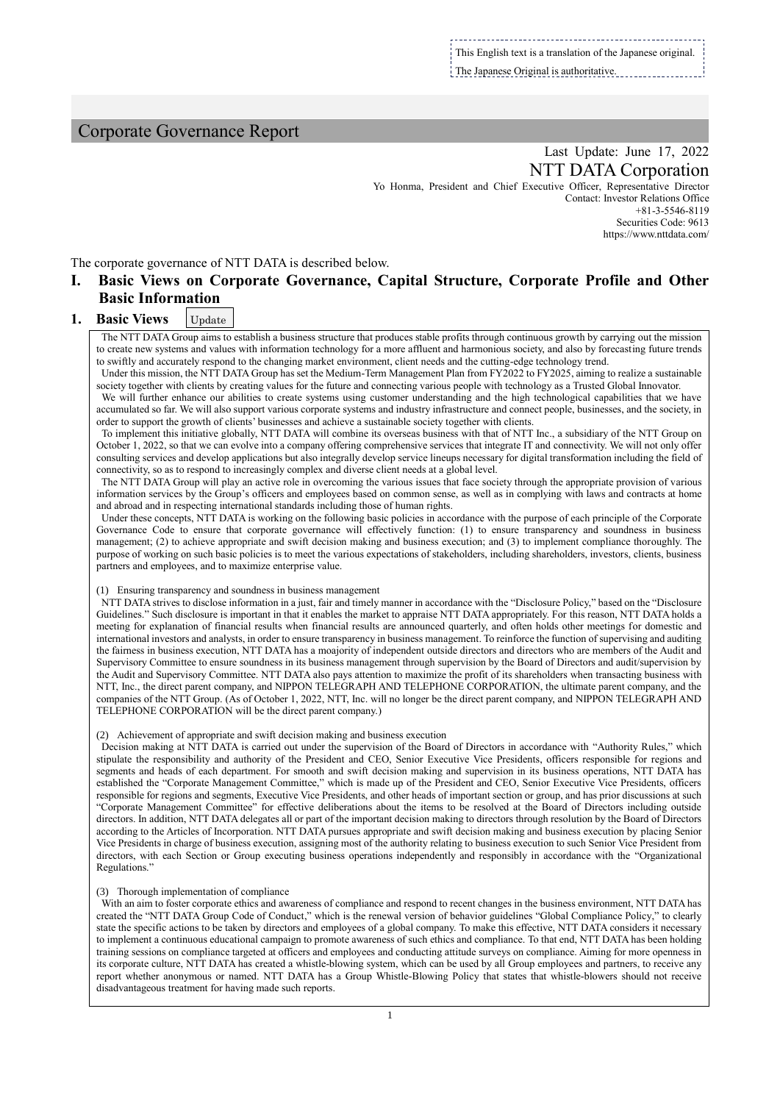This English text is a translation of the Japanese original. The Japanese Original is authoritative.

# Corporate Governance Report

# Last Update: June 17, 2022 NTT DATA Corporation

Yo Honma, President and Chief Executive Officer, Representative Director Contact: Investor Relations Office +81-3-5546-8119 Securities Code: 9613 https://www.nttdata.com/

The corporate governance of NTT DATA is described below.

# **I. Basic Views on Corporate Governance, Capital Structure, Corporate Profile and Other Basic Information**

#### **1. Basic Views** Update

The NTT DATA Group aims to establish a business structure that produces stable profits through continuous growth by carrying out the mission to create new systems and values with information technology for a more affluent and harmonious society, and also by forecasting future trends to swiftly and accurately respond to the changing market environment, client needs and the cutting-edge technology trend.

Under this mission, the NTT DATA Group has set the Medium-Term Management Plan from FY2022 to FY2025, aiming to realize a sustainable society together with clients by creating values for the future and connecting various people with technology as a Trusted Global Innovator.

We will further enhance our abilities to create systems using customer understanding and the high technological capabilities that we have accumulated so far. We will also support various corporate systems and industry infrastructure and connect people, businesses, and the society, in order to support the growth of clients' businesses and achieve a sustainable society together with clients.

To implement this initiative globally, NTT DATA will combine its overseas business with that of NTT Inc., a subsidiary of the NTT Group on October 1, 2022, so that we can evolve into a company offering comprehensive services that integrate IT and connectivity. We will not only offer consulting services and develop applications but also integrally develop service lineups necessary for digital transformation including the field of connectivity, so as to respond to increasingly complex and diverse client needs at a global level.

The NTT DATA Group will play an active role in overcoming the various issues that face society through the appropriate provision of various information services by the Group's officers and employees based on common sense, as well as in complying with laws and contracts at home and abroad and in respecting international standards including those of human rights.

Under these concepts, NTT DATA is working on the following basic policies in accordance with the purpose of each principle of the Corporate Governance Code to ensure that corporate governance will effectively function: (1) to ensure transparency and soundness in business management; (2) to achieve appropriate and swift decision making and business execution; and (3) to implement compliance thoroughly. The purpose of working on such basic policies is to meet the various expectations of stakeholders, including shareholders, investors, clients, business partners and employees, and to maximize enterprise value.

#### (1) Ensuring transparency and soundness in business management

NTT DATA strives to disclose information in a just, fair and timely manner in accordance with the "Disclosure Policy," based on the "Disclosure Guidelines." Such disclosure is important in that it enables the market to appraise NTT DATA appropriately. For this reason, NTT DATA holds a meeting for explanation of financial results when financial results are announced quarterly, and often holds other meetings for domestic and international investors and analysts, in order to ensure transparency in business management. To reinforce the function of supervising and auditing the fairness in business execution, NTT DATA has a moajority of independent outside directors and directors who are members of the Audit and Supervisory Committee to ensure soundness in its business management through supervision by the Board of Directors and audit/supervision by the Audit and Supervisory Committee. NTT DATA also pays attention to maximize the profit of its shareholders when transacting business with NTT, Inc., the direct parent company, and NIPPON TELEGRAPH AND TELEPHONE CORPORATION, the ultimate parent company, and the companies of the NTT Group. (As of October 1, 2022, NTT, Inc. will no longer be the direct parent company, and NIPPON TELEGRAPH AND TELEPHONE CORPORATION will be the direct parent company.)

#### (2) Achievement of appropriate and swift decision making and business execution

Decision making at NTT DATA is carried out under the supervision of the Board of Directors in accordance with "Authority Rules," which stipulate the responsibility and authority of the President and CEO, Senior Executive Vice Presidents, officers responsible for regions and segments and heads of each department. For smooth and swift decision making and supervision in its business operations, NTT DATA has established the "Corporate Management Committee," which is made up of the President and CEO, Senior Executive Vice Presidents, officers responsible for regions and segments, Executive Vice Presidents, and other heads of important section or group, and has prior discussions at such "Corporate Management Committee" for effective deliberations about the items to be resolved at the Board of Directors including outside directors. In addition, NTT DATA delegates all or part of the important decision making to directors through resolution by the Board of Directors according to the Articles of Incorporation. NTT DATA pursues appropriate and swift decision making and business execution by placing Senior Vice Presidents in charge of business execution, assigning most of the authority relating to business execution to such Senior Vice President from directors, with each Section or Group executing business operations independently and responsibly in accordance with the "Organizational Regulations."

#### (3) Thorough implementation of compliance

With an aim to foster corporate ethics and awareness of compliance and respond to recent changes in the business environment, NTT DATA has created the "NTT DATA Group Code of Conduct," which is the renewal version of behavior guidelines "Global Compliance Policy," to clearly state the specific actions to be taken by directors and employees of a global company. To make this effective, NTT DATA considers it necessary to implement a continuous educational campaign to promote awareness of such ethics and compliance. To that end, NTT DATA has been holding training sessions on compliance targeted at officers and employees and conducting attitude surveys on compliance. Aiming for more openness in its corporate culture, NTT DATA has created a whistle-blowing system, which can be used by all Group employees and partners, to receive any report whether anonymous or named. NTT DATA has a Group Whistle-Blowing Policy that states that whistle-blowers should not receive disadvantageous treatment for having made such reports.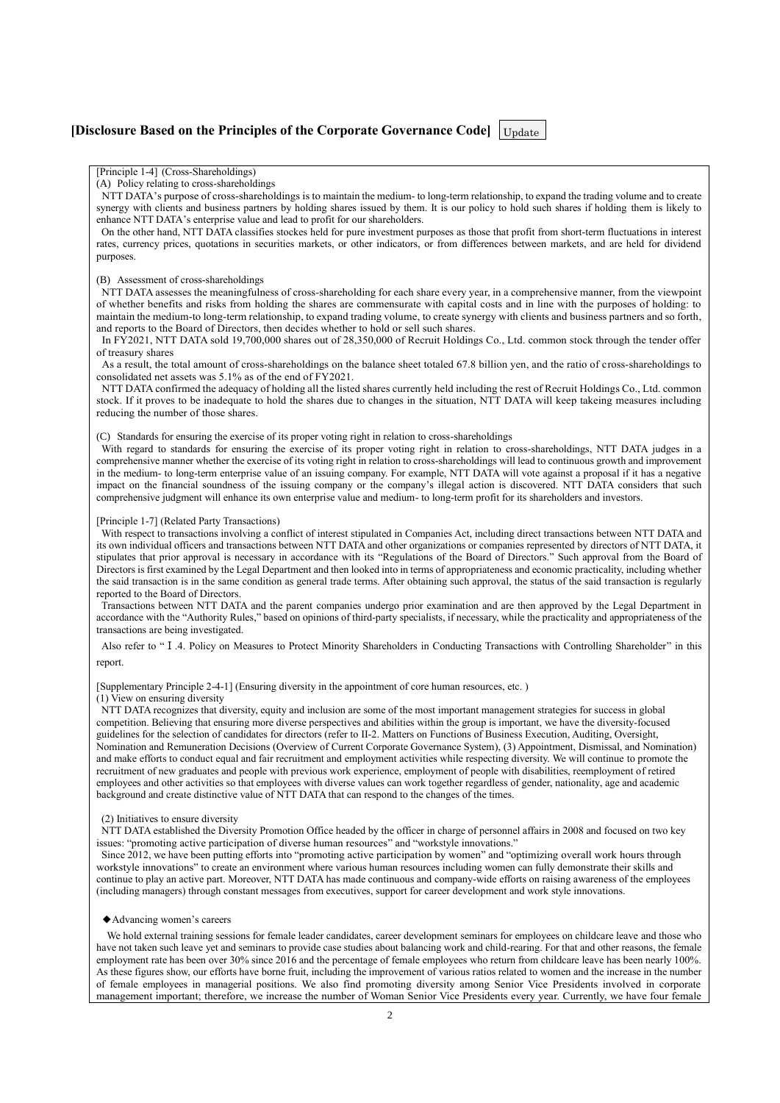# **[Disclosure Based on the Principles of the Corporate Governance Code]** Update

#### [Principle 1-4] (Cross-Shareholdings)

(A) Policy relating to cross-shareholdings

NTT DATA's purpose of cross-shareholdings is to maintain the medium- to long-term relationship, to expand the trading volume and to create synergy with clients and business partners by holding shares issued by them. It is our policy to hold such shares if holding them is likely to enhance NTT DATA's enterprise value and lead to profit for our shareholders.

On the other hand, NTT DATA classifies stockes held for pure investment purposes as those that profit from short-term fluctuations in interest rates, currency prices, quotations in securities markets, or other indicators, or from differences between markets, and are held for dividend purposes.

#### (B) Assessment of cross-shareholdings

NTT DATA assesses the meaningfulness of cross-shareholding for each share every year, in a comprehensive manner, from the viewpoint of whether benefits and risks from holding the shares are commensurate with capital costs and in line with the purposes of holding: to maintain the medium-to long-term relationship, to expand trading volume, to create synergy with clients and business partners and so forth, and reports to the Board of Directors, then decides whether to hold or sell such shares.

In FY2021, NTT DATA sold 19,700,000 shares out of 28,350,000 of Recruit Holdings Co., Ltd. common stock through the tender offer of treasury shares

As a result, the total amount of cross-shareholdings on the balance sheet totaled 67.8 billion yen, and the ratio of cross-shareholdings to consolidated net assets was 5.1% as of the end of FY2021.

NTT DATA confirmed the adequacy of holding all the listed shares currently held including the rest of Recruit Holdings Co., Ltd. common stock. If it proves to be inadequate to hold the shares due to changes in the situation, NTT DATA will keep takeing measures including reducing the number of those shares.

(C) Standards for ensuring the exercise of its proper voting right in relation to cross-shareholdings

With regard to standards for ensuring the exercise of its proper voting right in relation to cross-shareholdings, NTT DATA judges in a comprehensive manner whether the exercise of its voting right in relation to cross-shareholdings will lead to continuous growth and improvement in the medium- to long-term enterprise value of an issuing company. For example, NTT DATA will vote against a proposal if it has a negative impact on the financial soundness of the issuing company or the company's illegal action is discovered. NTT DATA considers that such comprehensive judgment will enhance its own enterprise value and medium- to long-term profit for its shareholders and investors.

#### [Principle 1-7] (Related Party Transactions)

With respect to transactions involving a conflict of interest stipulated in Companies Act, including direct transactions between NTT DATA and its own individual officers and transactions between NTT DATA and other organizations or companies represented by directors of NTT DATA, it stipulates that prior approval is necessary in accordance with its "Regulations of the Board of Directors." Such approval from the Board of Directors is first examined by the Legal Department and then looked into in terms of appropriateness and economic practicality, including whether the said transaction is in the same condition as general trade terms. After obtaining such approval, the status of the said transaction is regularly reported to the Board of Directors.

Transactions between NTT DATA and the parent companies undergo prior examination and are then approved by the Legal Department in accordance with the "Authority Rules," based on opinions of third-party specialists, if necessary, while the practicality and appropriateness of the transactions are being investigated.

Also refer to "Ⅰ.4. Policy on Measures to Protect Minority Shareholders in Conducting Transactions with Controlling Shareholder" in this report.

[Supplementary Principle 2-4-1] (Ensuring diversity in the appointment of core human resources, etc. )

#### (1) View on ensuring diversity

NTT DATA recognizes that diversity, equity and inclusion are some of the most important management strategies for success in global competition. Believing that ensuring more diverse perspectives and abilities within the group is important, we have the diversity-focused guidelines for the selection of candidates for directors (refer to II-2. Matters on Functions of Business Execution, Auditing, Oversight, Nomination and Remuneration Decisions (Overview of Current Corporate Governance System), (3) Appointment, Dismissal, and Nomination) and make efforts to conduct equal and fair recruitment and employment activities while respecting diversity. We will continue to promote the recruitment of new graduates and people with previous work experience, employment of people with disabilities, reemployment of retired employees and other activities so that employees with diverse values can work together regardless of gender, nationality, age and academic background and create distinctive value of NTT DATA that can respond to the changes of the times.

#### (2) Initiatives to ensure diversity

NTT DATA established the Diversity Promotion Office headed by the officer in charge of personnel affairs in 2008 and focused on two key issues: "promoting active participation of diverse human resources" and "workstyle innovations."

Since 2012, we have been putting efforts into "promoting active participation by women" and "optimizing overall work hours through workstyle innovations" to create an environment where various human resources including women can fully demonstrate their skills and continue to play an active part. Moreover, NTT DATA has made continuous and company-wide efforts on raising awareness of the employees (including managers) through constant messages from executives, support for career development and work style innovations.

#### ◆Advancing women's careers

We hold external training sessions for female leader candidates, career development seminars for employees on childcare leave and those who have not taken such leave yet and seminars to provide case studies about balancing work and child-rearing. For that and other reasons, the female employment rate has been over 30% since 2016 and the percentage of female employees who return from childcare leave has been nearly 100%. As these figures show, our efforts have borne fruit, including the improvement of various ratios related to women and the increase in the number of female employees in managerial positions. We also find promoting diversity among Senior Vice Presidents involved in corporate management important; therefore, we increase the number of Woman Senior Vice Presidents every year. Currently, we have four female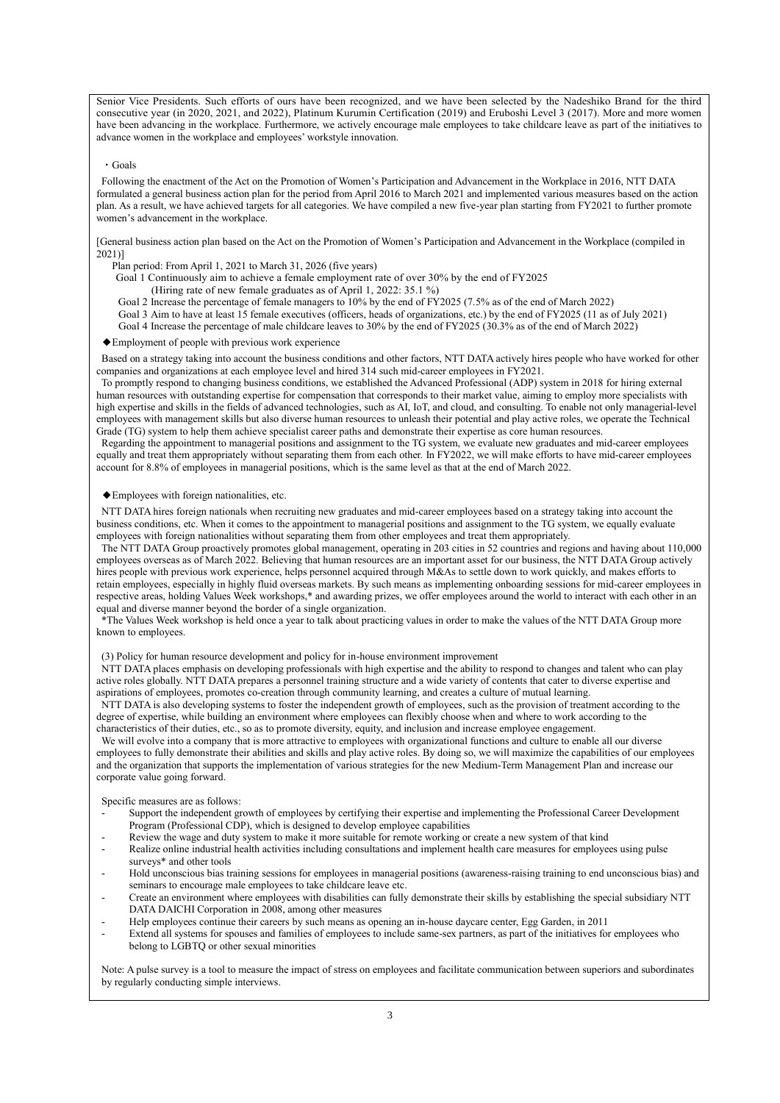Senior Vice Presidents. Such efforts of ours have been recognized, and we have been selected by the Nadeshiko Brand for the third consecutive year (in 2020, 2021, and 2022), Platinum Kurumin Certification (2019) and Eruboshi Level 3 (2017). More and more women have been advancing in the workplace. Furthermore, we actively encourage male employees to take childcare leave as part of the initiatives to advance women in the workplace and employees' workstyle innovation.

#### ・Goals

Following the enactment of the Act on the Promotion of Women's Participation and Advancement in the Workplace in 2016, NTT DATA formulated a general business action plan for the period from April 2016 to March 2021 and implemented various measures based on the action plan. As a result, we have achieved targets for all categories. We have compiled a new five-year plan starting from FY2021 to further promote women's advancement in the workplace.

[General business action plan based on the Act on the Promotion of Women's Participation and Advancement in the Workplace (compiled in 2021)]

- Plan period: From April 1, 2021 to March 31, 2026 (five years)
- Goal 1 Continuously aim to achieve a female employment rate of over 30% by the end of FY2025
	- (Hiring rate of new female graduates as of April 1, 2022: 35.1 %)
- Goal 2 Increase the percentage of female managers to 10% by the end of FY2025 (7.5% as of the end of March 2022)
- Goal 3 Aim to have at least 15 female executives (officers, heads of organizations, etc.) by the end of FY2025 (11 as of July 2021)
- Goal 4 Increase the percentage of male childcare leaves to 30% by the end of FY2025 (30.3% as of the end of March 2022)

#### ◆Employment of people with previous work experience

Based on a strategy taking into account the business conditions and other factors, NTT DATA actively hires people who have worked for other companies and organizations at each employee level and hired 314 such mid-career employees in FY2021.

To promptly respond to changing business conditions, we established the Advanced Professional (ADP) system in 2018 for hiring external human resources with outstanding expertise for compensation that corresponds to their market value, aiming to employ more specialists with high expertise and skills in the fields of advanced technologies, such as AI, IoT, and cloud, and consulting. To enable not only managerial-level employees with management skills but also diverse human resources to unleash their potential and play active roles, we operate the Technical Grade (TG) system to help them achieve specialist career paths and demonstrate their expertise as core human resources.

Regarding the appointment to managerial positions and assignment to the TG system, we evaluate new graduates and mid-career employees equally and treat them appropriately without separating them from each other. In FY2022, we will make efforts to have mid-career employees account for 8.8% of employees in managerial positions, which is the same level as that at the end of March 2022.

#### ◆Employees with foreign nationalities, etc.

NTT DATA hires foreign nationals when recruiting new graduates and mid-career employees based on a strategy taking into account the business conditions, etc. When it comes to the appointment to managerial positions and assignment to the TG system, we equally evaluate employees with foreign nationalities without separating them from other employees and treat them appropriately.

The NTT DATA Group proactively promotes global management, operating in 203 cities in 52 countries and regions and having about 110,000 employees overseas as of March 2022. Believing that human resources are an important asset for our business, the NTT DATA Group actively hires people with previous work experience, helps personnel acquired through M&As to settle down to work quickly, and makes efforts to retain employees, especially in highly fluid overseas markets. By such means as implementing onboarding sessions for mid-career employees in respective areas, holding Values Week workshops,\* and awarding prizes, we offer employees around the world to interact with each other in an equal and diverse manner beyond the border of a single organization.

\*The Values Week workshop is held once a year to talk about practicing values in order to make the values of the NTT DATA Group more known to employees.

(3) Policy for human resource development and policy for in-house environment improvement

NTT DATA places emphasis on developing professionals with high expertise and the ability to respond to changes and talent who can play active roles globally. NTT DATA prepares a personnel training structure and a wide variety of contents that cater to diverse expertise and aspirations of employees, promotes co-creation through community learning, and creates a culture of mutual learning.

NTT DATA is also developing systems to foster the independent growth of employees, such as the provision of treatment according to the degree of expertise, while building an environment where employees can flexibly choose when and where to work according to the characteristics of their duties, etc., so as to promote diversity, equity, and inclusion and increase employee engagement.

We will evolve into a company that is more attractive to employees with organizational functions and culture to enable all our diverse employees to fully demonstrate their abilities and skills and play active roles. By doing so, we will maximize the capabilities of our employees and the organization that supports the implementation of various strategies for the new Medium-Term Management Plan and increase our corporate value going forward.

#### Specific measures are as follows:

- Support the independent growth of employees by certifying their expertise and implementing the Professional Career Development Program (Professional CDP), which is designed to develop employee capabilities
- Review the wage and duty system to make it more suitable for remote working or create a new system of that kind
- Realize online industrial health activities including consultations and implement health care measures for employees using pulse surveys\* and other tools
- Hold unconscious bias training sessions for employees in managerial positions (awareness-raising training to end unconscious bias) and seminars to encourage male employees to take childcare leave etc.
- Create an environment where employees with disabilities can fully demonstrate their skills by establishing the special subsidiary NTT DATA DAICHI Corporation in 2008, among other measures
- Help employees continue their careers by such means as opening an in-house daycare center, Egg Garden, in 2011
- Extend all systems for spouses and families of employees to include same-sex partners, as part of the initiatives for employees who belong to LGBTQ or other sexual minorities

Note: A pulse survey is a tool to measure the impact of stress on employees and facilitate communication between superiors and subordinates by regularly conducting simple interviews.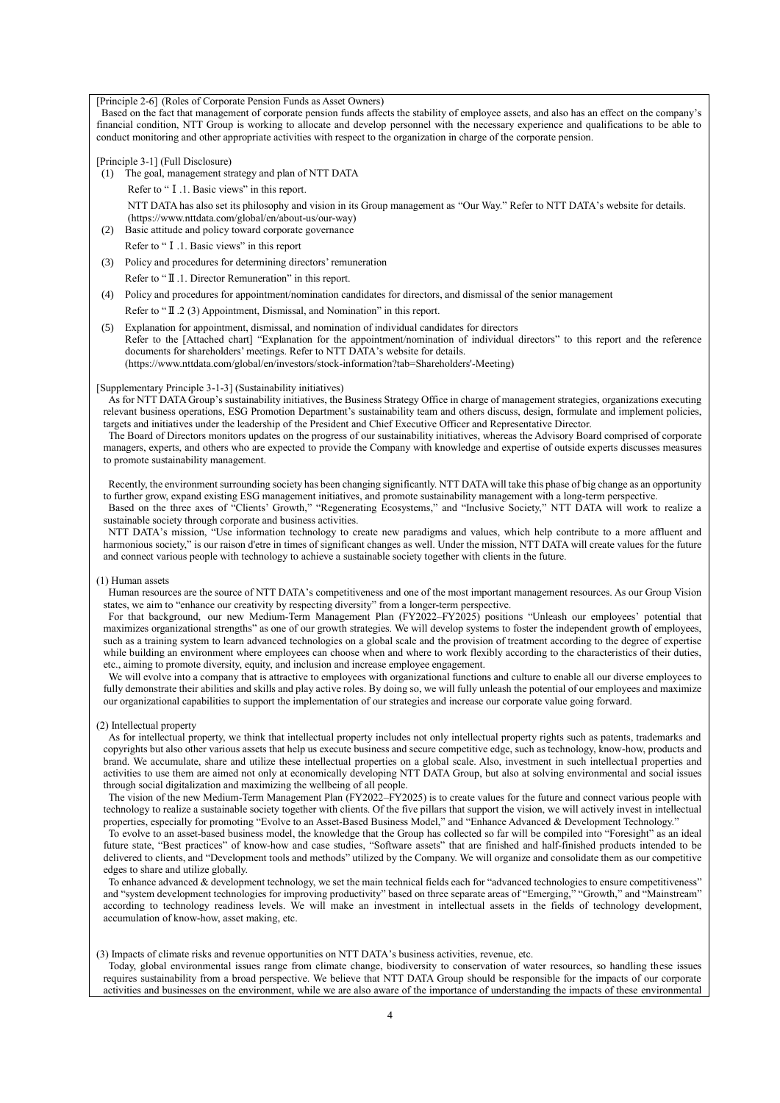[Principle 2-6] (Roles of Corporate Pension Funds as Asset Owners)

Based on the fact that management of corporate pension funds affects the stability of employee assets, and also has an effect on the company's financial condition, NTT Group is working to allocate and develop personnel with the necessary experience and qualifications to be able to conduct monitoring and other appropriate activities with respect to the organization in charge of the corporate pension.

[Principle 3-1] (Full Disclosure)

(1) The goal, management strategy and plan of NTT DATA

Refer to "I.1. Basic views" in this report. NTT DATA has also set its philosophy and vision in its Group management as "Our Way." Refer to NTT DATA's website for details. (https://www.nttdata.com/global/en/about-us/our-way)

(2) Basic attitude and policy toward corporate governance

- Refer to "I.1. Basic views" in this report
- (3) Policy and procedures for determining directors' remuneration Refer to "Ⅱ.1. Director Remuneration" in this report.
- (4) Policy and procedures for appointment/nomination candidates for directors, and dismissal of the senior management

Refer to "II.2 (3) Appointment, Dismissal, and Nomination" in this report.

(5) Explanation for appointment, dismissal, and nomination of individual candidates for directors Refer to the [Attached chart] "Explanation for the appointment/nomination of individual directors" to this report and the reference documents for shareholders' meetings. Refer to NTT DATA's website for details. (https://www.nttdata.com/global/en/investors/stock-information?tab=Shareholders'-Meeting)

#### [Supplementary Principle 3-1-3] (Sustainability initiatives)

As for NTT DATA Group's sustainability initiatives, the Business Strategy Office in charge of management strategies, organizations executing relevant business operations, ESG Promotion Department's sustainability team and others discuss, design, formulate and implement policies, targets and initiatives under the leadership of the President and Chief Executive Officer and Representative Director.

The Board of Directors monitors updates on the progress of our sustainability initiatives, whereas the Advisory Board comprised of corporate managers, experts, and others who are expected to provide the Company with knowledge and expertise of outside experts discusses measures to promote sustainability management.

Recently, the environment surrounding society has been changing significantly. NTT DATA will take this phase of big change as an opportunity to further grow, expand existing ESG management initiatives, and promote sustainability management with a long-term perspective.

Based on the three axes of "Clients' Growth," "Regenerating Ecosystems," and "Inclusive Society," NTT DATA will work to realize a sustainable society through corporate and business activities.

NTT DATA's mission, "Use information technology to create new paradigms and values, which help contribute to a more affluent and harmonious society," is our raison d'etre in times of significant changes as well. Under the mission, NTT DATA will create values for the future and connect various people with technology to achieve a sustainable society together with clients in the future.

#### (1) Human assets

Human resources are the source of NTT DATA's competitiveness and one of the most important management resources. As our Group Vision states, we aim to "enhance our creativity by respecting diversity" from a longer-term perspective.

For that background, our new Medium-Term Management Plan (FY2022–FY2025) positions "Unleash our employees' potential that maximizes organizational strengths" as one of our growth strategies. We will develop systems to foster the independent growth of employees, such as a training system to learn advanced technologies on a global scale and the provision of treatment according to the degree of expertise while building an environment where employees can choose when and where to work flexibly according to the characteristics of their duties, etc., aiming to promote diversity, equity, and inclusion and increase employee engagement.

We will evolve into a company that is attractive to employees with organizational functions and culture to enable all our diverse employees to fully demonstrate their abilities and skills and play active roles. By doing so, we will fully unleash the potential of our employees and maximize our organizational capabilities to support the implementation of our strategies and increase our corporate value going forward.

(2) Intellectual property

As for intellectual property, we think that intellectual property includes not only intellectual property rights such as patents, trademarks and copyrights but also other various assets that help us execute business and secure competitive edge, such as technology, know-how, products and brand. We accumulate, share and utilize these intellectual properties on a global scale. Also, investment in such intellectual properties and activities to use them are aimed not only at economically developing NTT DATA Group, but also at solving environmental and social issues through social digitalization and maximizing the wellbeing of all people.

The vision of the new Medium-Term Management Plan (FY2022–FY2025) is to create values for the future and connect various people with technology to realize a sustainable society together with clients. Of the five pillars that support the vision, we will actively invest in intellectual properties, especially for promoting "Evolve to an Asset-Based Business Model," and "Enhance Advanced & Development Technology."

To evolve to an asset-based business model, the knowledge that the Group has collected so far will be compiled into "Foresight" as an ideal future state, "Best practices" of know-how and case studies, "Software assets" that are finished and half-finished products intended to be delivered to clients, and "Development tools and methods" utilized by the Company. We will organize and consolidate them as our competitive edges to share and utilize globally.

To enhance advanced & development technology, we set the main technical fields each for "advanced technologies to ensure competitiveness" and "system development technologies for improving productivity" based on three separate areas of "Emerging," "Growth," and "Mainstream" according to technology readiness levels. We will make an investment in intellectual assets in the fields of technology development, accumulation of know-how, asset making, etc.

#### (3) Impacts of climate risks and revenue opportunities on NTT DATA's business activities, revenue, etc.

Today, global environmental issues range from climate change, biodiversity to conservation of water resources, so handling these issues requires sustainability from a broad perspective. We believe that NTT DATA Group should be responsible for the impacts of our corporate activities and businesses on the environment, while we are also aware of the importance of understanding the impacts of these environmental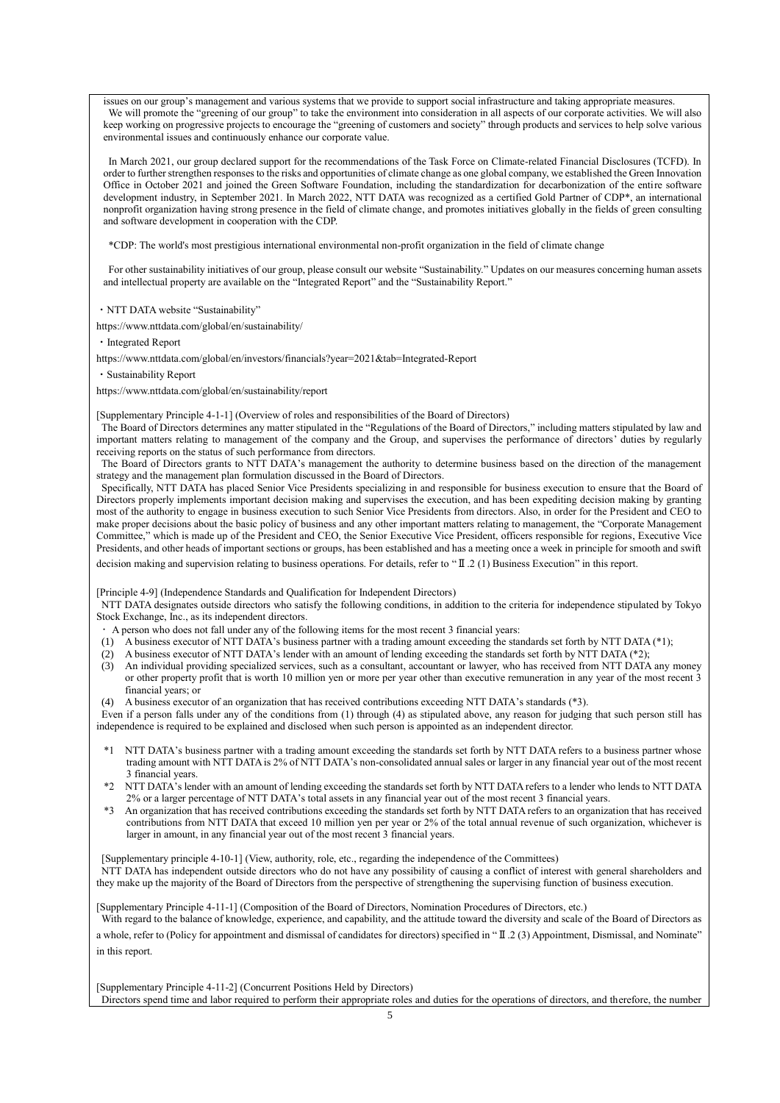issues on our group's management and various systems that we provide to support social infrastructure and taking appropriate measures. We will promote the "greening of our group" to take the environment into consideration in all aspects of our corporate activities. We will also keep working on progressive projects to encourage the "greening of customers and society" through products and services to help solve various environmental issues and continuously enhance our corporate value.

In March 2021, our group declared support for the recommendations of the Task Force on Climate-related Financial Disclosures (TCFD). In order to further strengthen responses to the risks and opportunities of climate change as one global company, we established the Green Innovation Office in October 2021 and joined the Green Software Foundation, including the standardization for decarbonization of the entire software development industry, in September 2021. In March 2022, NTT DATA was recognized as a certified Gold Partner of CDP\*, an international nonprofit organization having strong presence in the field of climate change, and promotes initiatives globally in the fields of green consulting and software development in cooperation with the CDP.

\*CDP: The world's most prestigious international environmental non-profit organization in the field of climate change

For other sustainability initiatives of our group, please consult our website "Sustainability." Updates on our measures concerning human assets and intellectual property are available on the "Integrated Report" and the "Sustainability Report."

・NTT DATA website "Sustainability"

https://www.nttdata.com/global/en/sustainability/

・Integrated Report

https://www.nttdata.com/global/en/investors/financials?year=2021&tab=Integrated-Report

・Sustainability Report

https://www.nttdata.com/global/en/sustainability/report

[Supplementary Principle 4-1-1] (Overview of roles and responsibilities of the Board of Directors)

The Board of Directors determines any matter stipulated in the "Regulations of the Board of Directors," including matters stipulated by law and important matters relating to management of the company and the Group, and supervises the performance of directors' duties by regularly receiving reports on the status of such performance from directors.

The Board of Directors grants to NTT DATA's management the authority to determine business based on the direction of the management strategy and the management plan formulation discussed in the Board of Directors.

Specifically, NTT DATA has placed Senior Vice Presidents specializing in and responsible for business execution to ensure that the Board of Directors properly implements important decision making and supervises the execution, and has been expediting decision making by granting most of the authority to engage in business execution to such Senior Vice Presidents from directors. Also, in order for the President and CEO to make proper decisions about the basic policy of business and any other important matters relating to management, the "Corporate Management Committee," which is made up of the President and CEO, the Senior Executive Vice President, officers responsible for regions, Executive Vice Presidents, and other heads of important sections or groups, has been established and has a meeting once a week in principle for smooth and swift

decision making and supervision relating to business operations. For details, refer to "Ⅱ.2 (1) Business Execution" in this report.

[Principle 4-9] (Independence Standards and Qualification for Independent Directors)

NTT DATA designates outside directors who satisfy the following conditions, in addition to the criteria for independence stipulated by Tokyo Stock Exchange, Inc., as its independent directors.

- ・ A person who does not fall under any of the following items for the most recent 3 financial years:
- (1) A business executor of NTT DATA's business partner with a trading amount exceeding the standards set forth by NTT DATA (\*1);
- (2) A business executor of NTT DATA's lender with an amount of lending exceeding the standards set forth by NTT DATA (\*2);
- (3) An individual providing specialized services, such as a consultant, accountant or lawyer, who has received from NTT DATA any money or other property profit that is worth 10 million yen or more per year other than executive remuneration in any year of the most recent 3 financial years; or
- (4) A business executor of an organization that has received contributions exceeding NTT DATA's standards (\*3).

Even if a person falls under any of the conditions from (1) through (4) as stipulated above, any reason for judging that such person still has independence is required to be explained and disclosed when such person is appointed as an independent director.

- \*1 NTT DATA's business partner with a trading amount exceeding the standards set forth by NTT DATA refers to a business partner whose trading amount with NTT DATA is 2% of NTT DATA's non-consolidated annual sales or larger in any financial year out of the most recent 3 financial years.
- \*2 NTT DATA's lender with an amount of lending exceeding the standards set forth by NTT DATA refers to a lender who lends to NTT DATA 2% or a larger percentage of NTT DATA's total assets in any financial year out of the most recent 3 financial years.
- \*3 An organization that has received contributions exceeding the standards set forth by NTT DATA refers to an organization that has received contributions from NTT DATA that exceed 10 million yen per year or 2% of the total annual revenue of such organization, whichever is larger in amount, in any financial year out of the most recent 3 financial years.

[Supplementary principle 4-10-1] (View, authority, role, etc., regarding the independence of the Committees) NTT DATA has independent outside directors who do not have any possibility of causing a conflict of interest with general shareholders and they make up the majority of the Board of Directors from the perspective of strengthening the supervising function of business execution.

[Supplementary Principle 4-11-1] (Composition of the Board of Directors, Nomination Procedures of Directors, etc.)

With regard to the balance of knowledge, experience, and capability, and the attitude toward the diversity and scale of the Board of Directors as

a whole, refer to (Policy for appointment and dismissal of candidates for directors) specified in "Ⅱ.2 (3) Appointment, Dismissal, and Nominate" in this report.

[Supplementary Principle 4-11-2] (Concurrent Positions Held by Directors) Directors spend time and labor required to perform their appropriate roles and duties for the operations of directors, and therefore, the number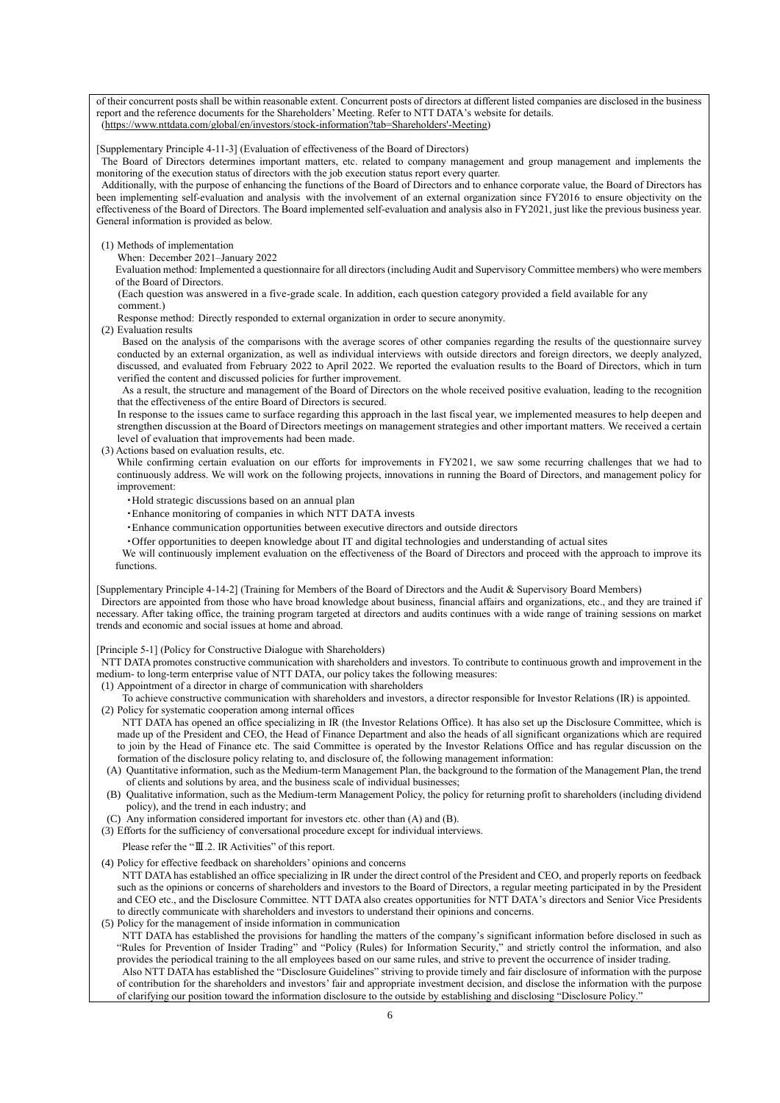of their concurrent posts shall be within reasonable extent. Concurrent posts of directors at different listed companies are disclosed in the business report and the reference documents for the Shareholders' Meeting. Refer to NTT DATA's website for details. [\(https://www.nttdata.com/global/en/investors/stock-information?tab=Shareholders'-Meeting\)](https://www.nttdata.com/global/en/investors/stock-information?tab=Shareholders)

[Supplementary Principle 4-11-3] (Evaluation of effectiveness of the Board of Directors)

The Board of Directors determines important matters, etc. related to company management and group management and implements the monitoring of the execution status of directors with the job execution status report every quarter.

Additionally, with the purpose of enhancing the functions of the Board of Directors and to enhance corporate value, the Board of Directors has been implementing self-evaluation and analysis with the involvement of an external organization since FY2016 to ensure objectivity on the effectiveness of the Board of Directors. The Board implemented self-evaluation and analysis also in FY2021, just like the previous business year. General information is provided as below.

(1) Methods of implementation

When: December 2021–January 2022

Evaluation method: Implemented a questionnaire for all directors (including Audit and Supervisory Committee members) who were members of the Board of Directors.

(Each question was answered in a five-grade scale. In addition, each question category provided a field available for any comment.)

Response method: Directly responded to external organization in order to secure anonymity.

(2) Evaluation results

Based on the analysis of the comparisons with the average scores of other companies regarding the results of the questionnaire survey conducted by an external organization, as well as individual interviews with outside directors and foreign directors, we deeply analyzed, discussed, and evaluated from February 2022 to April 2022. We reported the evaluation results to the Board of Directors, which in turn verified the content and discussed policies for further improvement.

As a result, the structure and management of the Board of Directors on the whole received positive evaluation, leading to the recognition that the effectiveness of the entire Board of Directors is secured.

In response to the issues came to surface regarding this approach in the last fiscal year, we implemented measures to help deepen and strengthen discussion at the Board of Directors meetings on management strategies and other important matters. We received a certain level of evaluation that improvements had been made.

(3) Actions based on evaluation results, etc.

While confirming certain evaluation on our efforts for improvements in FY2021, we saw some recurring challenges that we had to continuously address. We will work on the following projects, innovations in running the Board of Directors, and management policy for improvement:

- ・Hold strategic discussions based on an annual plan
- ・Enhance monitoring of companies in which NTT DATA invests
- ・Enhance communication opportunities between executive directors and outside directors
- ・Offer opportunities to deepen knowledge about IT and digital technologies and understanding of actual sites

We will continuously implement evaluation on the effectiveness of the Board of Directors and proceed with the approach to improve its functions.

[Supplementary Principle 4-14-2] (Training for Members of the Board of Directors and the Audit & Supervisory Board Members) Directors are appointed from those who have broad knowledge about business, financial affairs and organizations, etc., and they are trained if necessary. After taking office, the training program targeted at directors and audits continues with a wide range of training sessions on market trends and economic and social issues at home and abroad.

[Principle 5-1] (Policy for Constructive Dialogue with Shareholders)

NTT DATA promotes constructive communication with shareholders and investors. To contribute to continuous growth and improvement in the medium- to long-term enterprise value of NTT DATA, our policy takes the following measures:

- (1) Appointment of a director in charge of communication with shareholders
- To achieve constructive communication with shareholders and investors, a director responsible for Investor Relations (IR) is appointed. (2) Policy for systematic cooperation among internal offices

NTT DATA has opened an office specializing in IR (the Investor Relations Office). It has also set up the Disclosure Committee, which is made up of the President and CEO, the Head of Finance Department and also the heads of all significant organizations which are required to join by the Head of Finance etc. The said Committee is operated by the Investor Relations Office and has regular discussion on the formation of the disclosure policy relating to, and disclosure of, the following management information:

(A) Quantitative information, such as the Medium-term Management Plan, the background to the formation of the Management Plan, the trend of clients and solutions by area, and the business scale of individual businesses;

(B) Qualitative information, such as the Medium-term Management Policy, the policy for returning profit to shareholders (including dividend policy), and the trend in each industry; and

- (C) Any information considered important for investors etc. other than (A) and (B).
- (3) Efforts for the sufficiency of conversational procedure except for individual interviews.

Please refer the "Ⅲ.2. IR Activities" of this report.

(4) Policy for effective feedback on shareholders' opinions and concerns

NTT DATA has established an office specializing in IR under the direct control of the President and CEO, and properly reports on feedback such as the opinions or concerns of shareholders and investors to the Board of Directors, a regular meeting participated in by the President and CEO etc., and the Disclosure Committee. NTT DATA also creates opportunities for NTT DATA's directors and Senior Vice Presidents to directly communicate with shareholders and investors to understand their opinions and concerns.

(5) Policy for the management of inside information in communication

NTT DATA has established the provisions for handling the matters of the company's significant information before disclosed in such as "Rules for Prevention of Insider Trading" and "Policy (Rules) for Information Security," and strictly control the information, and also provides the periodical training to the all employees based on our same rules, and strive to prevent the occurrence of insider trading. Also NTT DATA has established the "Disclosure Guidelines" striving to provide timely and fair disclosure of information with the purpose

of contribution for the shareholders and investors' fair and appropriate investment decision, and disclose the information with the purpose of clarifying our position toward the information disclosure to the outside by establishing and disclosing "Disclosure Policy."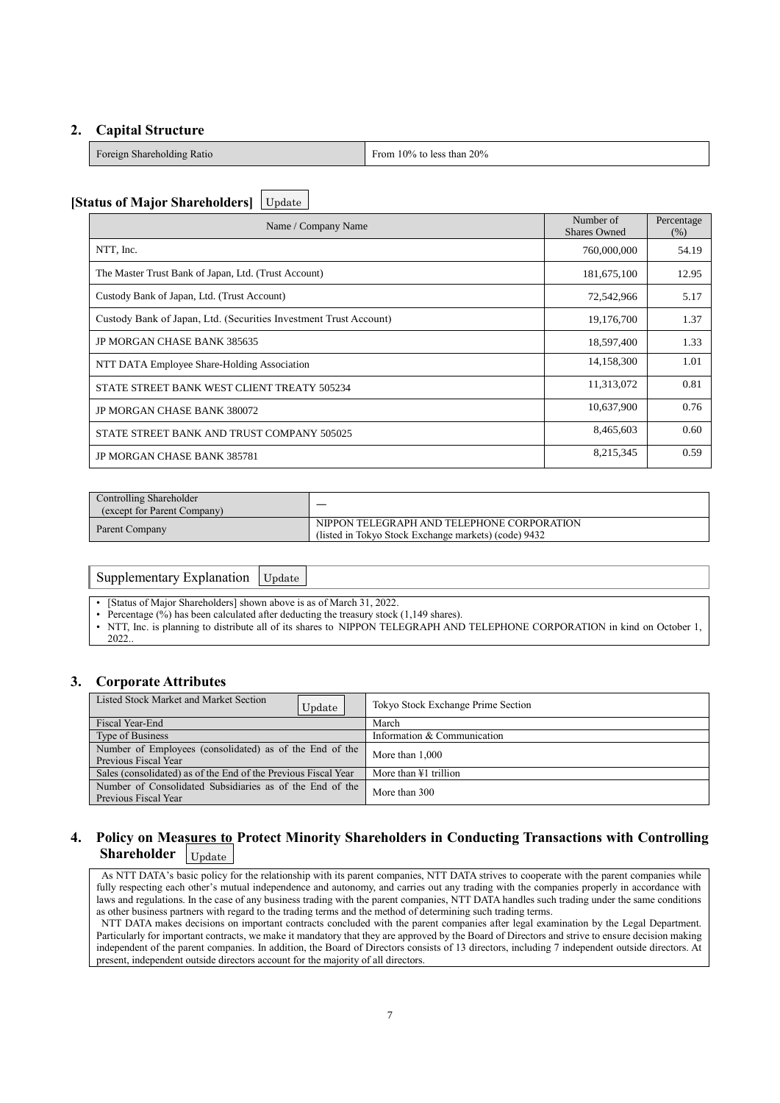# **2. Capital Structure**

| $\mathbf{r}$<br>Foreign Shareholding Ratio | From $10\%$ to less than $20\%$ |
|--------------------------------------------|---------------------------------|
|--------------------------------------------|---------------------------------|

# **[Status of Major Shareholders]** Update

| Name / Company Name                                               | Number of<br><b>Shares Owned</b> | Percentage<br>(% ) |
|-------------------------------------------------------------------|----------------------------------|--------------------|
| NTT, Inc.                                                         | 760,000,000                      | 54.19              |
| The Master Trust Bank of Japan, Ltd. (Trust Account)              | 181,675,100                      | 12.95              |
| Custody Bank of Japan, Ltd. (Trust Account)                       | 72,542,966                       | 5.17               |
| Custody Bank of Japan, Ltd. (Securities Investment Trust Account) | 19,176,700                       | 1.37               |
| JP MORGAN CHASE BANK 385635                                       | 18,597,400                       | 1.33               |
| NTT DATA Employee Share-Holding Association                       | 14,158,300                       | 1.01               |
| STATE STREET BANK WEST CLIENT TREATY 505234                       | 11,313,072                       | 0.81               |
| JP MORGAN CHASE BANK 380072                                       | 10,637,900                       | 0.76               |
| STATE STREET BANK AND TRUST COMPANY 505025                        | 8,465,603                        | 0.60               |
| <b>JP MORGAN CHASE BANK 385781</b>                                | 8,215,345                        | 0.59               |

| Controlling Shareholder<br>(except for Parent Company) |                                                                                                    |
|--------------------------------------------------------|----------------------------------------------------------------------------------------------------|
| Parent Company                                         | NIPPON TELEGRAPH AND TELEPHONE CORPORATION<br>(listed in Tokyo Stock Exchange markets) (code) 9432 |

# Supplementary Explanation Update

[Status of Major Shareholders] shown above is as of March 31, 2022.

- Percentage (%) has been calculated after deducting the treasury stock (1,149 shares).
- NTT, Inc. is planning to distribute all of its shares to NIPPON TELEGRAPH AND TELEPHONE CORPORATION in kind on October 1, 2022..

# **3. Corporate Attributes**

| Listed Stock Market and Market Section<br>Update                                 | Tokyo Stock Exchange Prime Section |
|----------------------------------------------------------------------------------|------------------------------------|
| Fiscal Year-End                                                                  | March                              |
| Type of Business                                                                 | Information & Communication        |
| Number of Employees (consolidated) as of the End of the<br>Previous Fiscal Year  | More than 1,000                    |
| Sales (consolidated) as of the End of the Previous Fiscal Year                   | More than $\angle 1$ trillion      |
| Number of Consolidated Subsidiaries as of the End of the<br>Previous Fiscal Year | More than 300                      |

#### **4. Policy on Measures to Protect Minority Shareholders in Conducting Transactions with Controlling Shareholder** Update

As NTT DATA's basic policy for the relationship with its parent companies, NTT DATA strives to cooperate with the parent companies while fully respecting each other's mutual independence and autonomy, and carries out any trading with the companies properly in accordance with laws and regulations. In the case of any business trading with the parent companies, NTT DATA handles such trading under the same conditions as other business partners with regard to the trading terms and the method of determining such trading terms. NTT DATA makes decisions on important contracts concluded with the parent companies after legal examination by the Legal Department.

Particularly for important contracts, we make it mandatory that they are approved by the Board of Directors and strive to ensure decision making independent of the parent companies. In addition, the Board of Directors consists of 13 directors, including 7 independent outside directors. At present, independent outside directors account for the majority of all directors.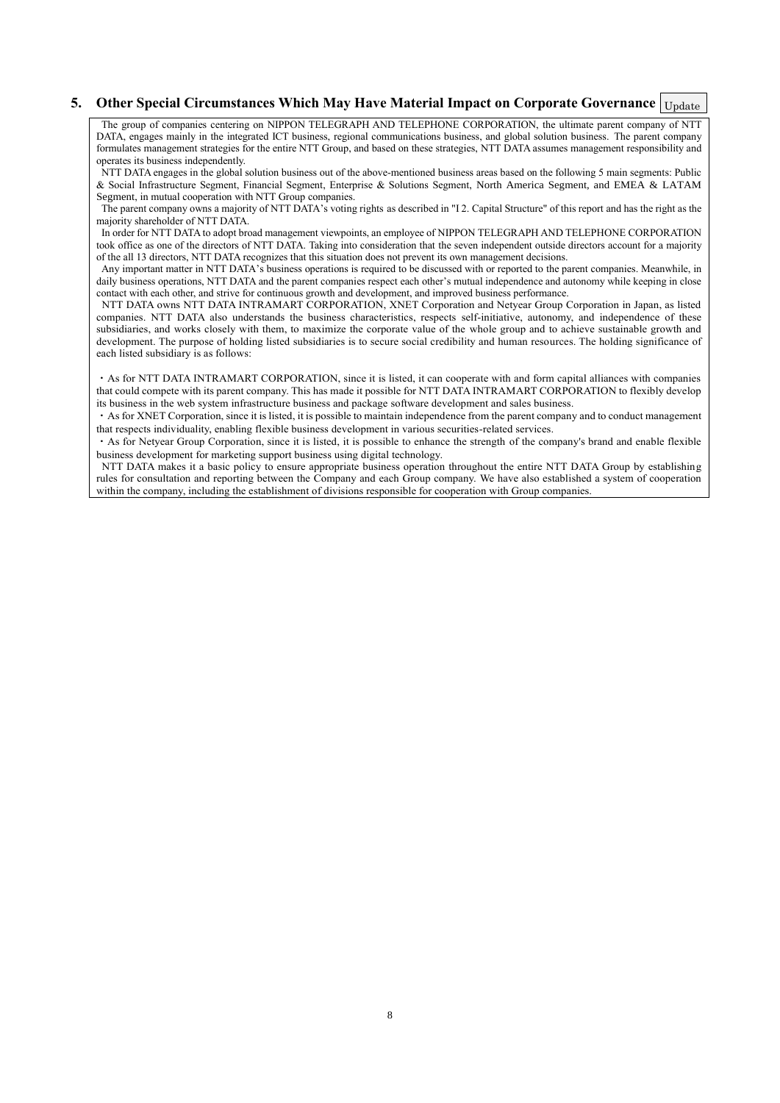# 5. Other Special Circumstances Which May Have Material Impact on Corporate Governance *Update*

The group of companies centering on NIPPON TELEGRAPH AND TELEPHONE CORPORATION, the ultimate parent company of NTT DATA, engages mainly in the integrated ICT business, regional communications business, and global solution business. The parent company formulates management strategies for the entire NTT Group, and based on these strategies, NTT DATA assumes management responsibility and operates its business independently.

NTT DATA engages in the global solution business out of the above-mentioned business areas based on the following 5 main segments: Public & Social Infrastructure Segment, Financial Segment, Enterprise & Solutions Segment, North America Segment, and EMEA & LATAM Segment, in mutual cooperation with NTT Group companies.

The parent company owns a majority of NTT DATA's voting rights as described in "I 2. Capital Structure" of this report and has the right as the majority shareholder of NTT DATA.

In order for NTT DATA to adopt broad management viewpoints, an employee of NIPPON TELEGRAPH AND TELEPHONE CORPORATION took office as one of the directors of NTT DATA. Taking into consideration that the seven independent outside directors account for a majority of the all 13 directors, NTT DATA recognizes that this situation does not prevent its own management decisions.

Any important matter in NTT DATA's business operations is required to be discussed with or reported to the parent companies. Meanwhile, in daily business operations, NTT DATA and the parent companies respect each other's mutual independence and autonomy while keeping in close contact with each other, and strive for continuous growth and development, and improved business performance.

NTT DATA owns NTT DATA INTRAMART CORPORATION, XNET Corporation and Netyear Group Corporation in Japan, as listed companies. NTT DATA also understands the business characteristics, respects self-initiative, autonomy, and independence of these subsidiaries, and works closely with them, to maximize the corporate value of the whole group and to achieve sustainable growth and development. The purpose of holding listed subsidiaries is to secure social credibility and human resources. The holding significance of each listed subsidiary is as follows:

・As for NTT DATA INTRAMART CORPORATION, since it is listed, it can cooperate with and form capital alliances with companies that could compete with its parent company. This has made it possible for NTT DATA INTRAMART CORPORATION to flexibly develop its business in the web system infrastructure business and package software development and sales business.

・As for XNET Corporation, since it is listed, it is possible to maintain independence from the parent company and to conduct management that respects individuality, enabling flexible business development in various securities-related services.

・As for Netyear Group Corporation, since it is listed, it is possible to enhance the strength of the company's brand and enable flexible business development for marketing support business using digital technology.

NTT DATA makes it a basic policy to ensure appropriate business operation throughout the entire NTT DATA Group by establishing rules for consultation and reporting between the Company and each Group company. We have also established a system of cooperation within the company, including the establishment of divisions responsible for cooperation with Group companies.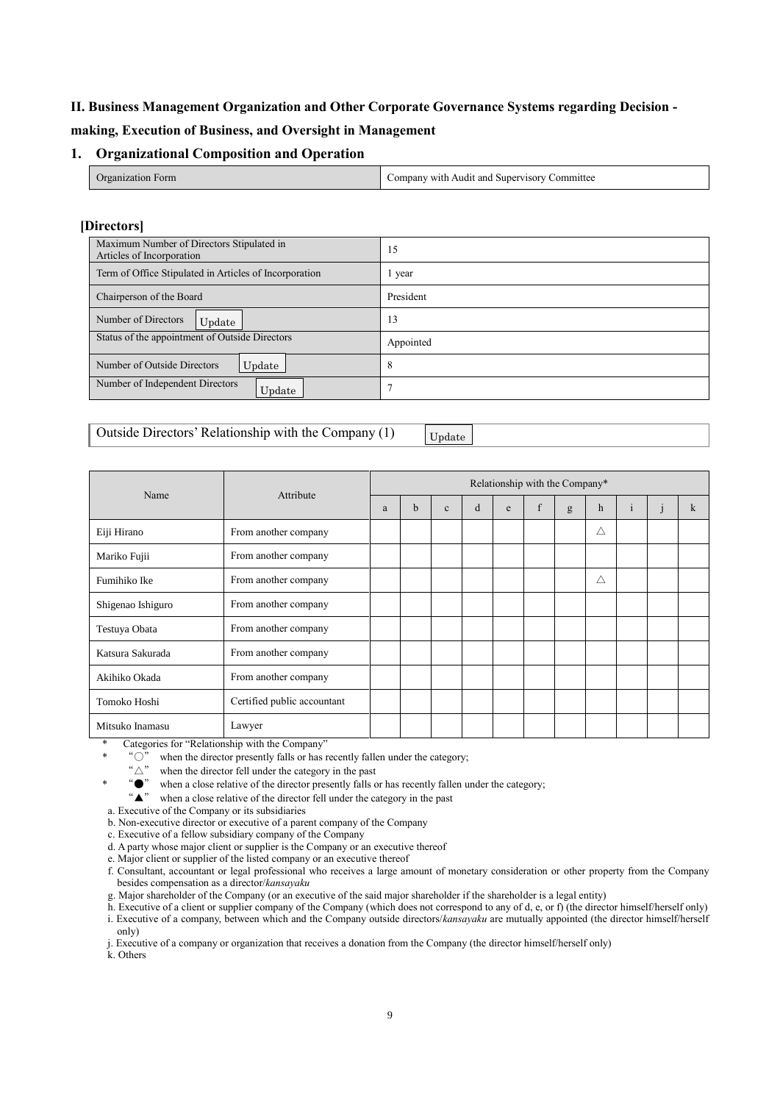# **II. Business Management Organization and Other Corporate Governance Systems regarding Decision -**

# **making, Execution of Business, and Oversight in Management**

# **1. Organizational Composition and Operation**

| Organization Form | Company with Audit and Supervisory C<br>Committee |
|-------------------|---------------------------------------------------|
|                   |                                                   |

# **[Directors]**

| Maximum Number of Directors Stipulated in<br>Articles of Incorporation | 15        |  |  |  |
|------------------------------------------------------------------------|-----------|--|--|--|
| Term of Office Stipulated in Articles of Incorporation                 | l year    |  |  |  |
| Chairperson of the Board                                               | President |  |  |  |
| Number of Directors<br>Update                                          | 13        |  |  |  |
| Status of the appointment of Outside Directors                         | Appointed |  |  |  |
| Number of Outside Directors<br>Update                                  | 8         |  |  |  |
| Number of Independent Directors<br>Update                              |           |  |  |  |

# Outside Directors' Relationship with the Company (1)

Update

|                   |                             | Relationship with the Company* |   |              |   |   |   |   |             |              |   |
|-------------------|-----------------------------|--------------------------------|---|--------------|---|---|---|---|-------------|--------------|---|
| Name              | Attribute                   | a                              | b | $\mathbf{c}$ | d | e | f | g | $\mathbf h$ | $\mathbf{1}$ | k |
| Eiji Hirano       | From another company        |                                |   |              |   |   |   |   | Δ           |              |   |
| Mariko Fujii      | From another company        |                                |   |              |   |   |   |   |             |              |   |
| Fumihiko Ike      | From another company        |                                |   |              |   |   |   |   | Δ           |              |   |
| Shigenao Ishiguro | From another company        |                                |   |              |   |   |   |   |             |              |   |
| Testuya Obata     | From another company        |                                |   |              |   |   |   |   |             |              |   |
| Katsura Sakurada  | From another company        |                                |   |              |   |   |   |   |             |              |   |
| Akihiko Okada     | From another company        |                                |   |              |   |   |   |   |             |              |   |
| Tomoko Hoshi      | Certified public accountant |                                |   |              |   |   |   |   |             |              |   |
| Mitsuko Inamasu   | Lawyer                      |                                |   |              |   |   |   |   |             |              |   |

Categories for "Relationship with the Company"

" $\circ$ " when the director presently falls or has recently fallen under the category;

When the director fell under the category in the past<br>
" $\triangle$ " when a close relative of the director presently falls of

**\***  $\bullet$ " when a close relative of the director presently falls or has recently fallen under the category;  $\bullet \bullet$  when a close relative of the director fell under the category in the past

when a close relative of the director fell under the category in the past

a. Executive of the Company or its subsidiaries

b. Non-executive director or executive of a parent company of the Company

c. Executive of a fellow subsidiary company of the Company

d. A party whose major client or supplier is the Company or an executive thereof

e. Major client or supplier of the listed company or an executive thereof

f. Consultant, accountant or legal professional who receives a large amount of monetary consideration or other property from the Company besides compensation as a director/*kansayaku*

g. Major shareholder of the Company (or an executive of the said major shareholder if the shareholder is a legal entity)

h. Executive of a client or supplier company of the Company (which does not correspond to any of d, e, or f) (the director himself/herself only) i. Executive of a company, between which and the Company outside directors/*kansayaku* are mutually appointed (the director himself/herself only)

j. Executive of a company or organization that receives a donation from the Company (the director himself/herself only)

k. Others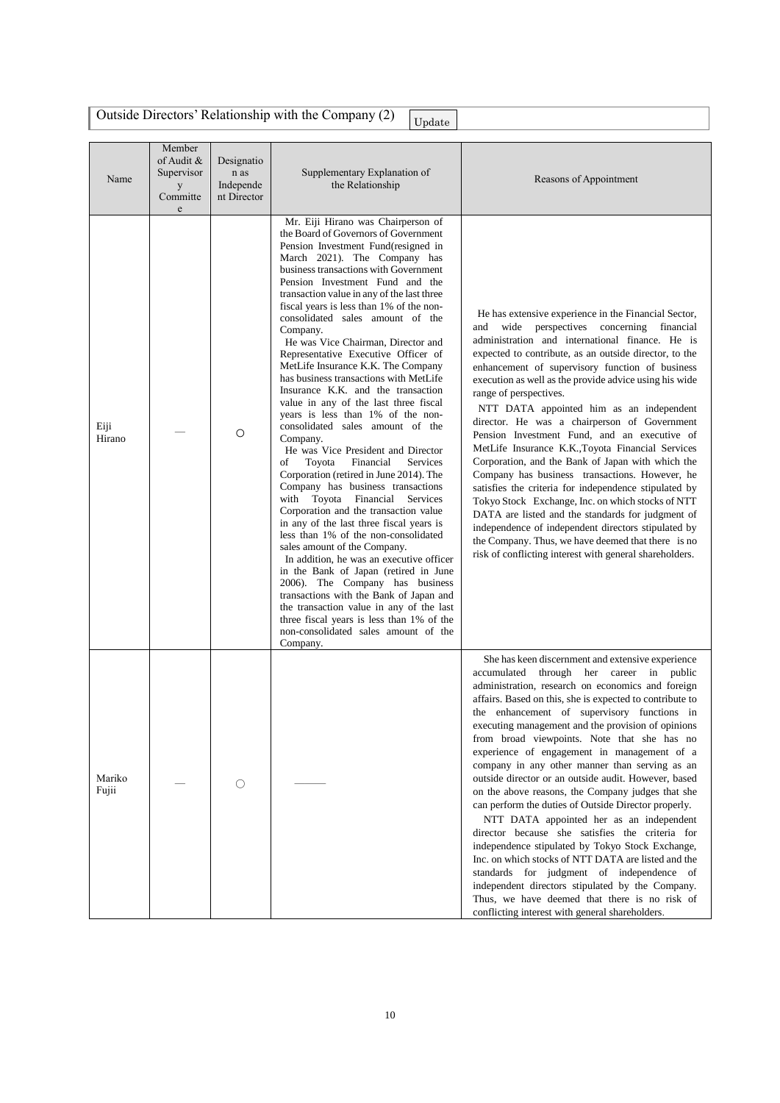|                 |                                                                     |                                                | Outside Directors' Relationship with the Company (2)<br>Update                                                                                                                                                                                                                                                                                                                                                                                                                                                                                                                                                                                                                                                                                                                                                                                                                                                                                                                                                                                                                                                                                                                                                                                                                                                                                                                                   |                                                                                                                                                                                                                                                                                                                                                                                                                                                                                                                                                                                                                                                                                                                                                                                                                                                                                                                                                                                                                                                               |
|-----------------|---------------------------------------------------------------------|------------------------------------------------|--------------------------------------------------------------------------------------------------------------------------------------------------------------------------------------------------------------------------------------------------------------------------------------------------------------------------------------------------------------------------------------------------------------------------------------------------------------------------------------------------------------------------------------------------------------------------------------------------------------------------------------------------------------------------------------------------------------------------------------------------------------------------------------------------------------------------------------------------------------------------------------------------------------------------------------------------------------------------------------------------------------------------------------------------------------------------------------------------------------------------------------------------------------------------------------------------------------------------------------------------------------------------------------------------------------------------------------------------------------------------------------------------|---------------------------------------------------------------------------------------------------------------------------------------------------------------------------------------------------------------------------------------------------------------------------------------------------------------------------------------------------------------------------------------------------------------------------------------------------------------------------------------------------------------------------------------------------------------------------------------------------------------------------------------------------------------------------------------------------------------------------------------------------------------------------------------------------------------------------------------------------------------------------------------------------------------------------------------------------------------------------------------------------------------------------------------------------------------|
| Name            | Member<br>of Audit &<br>Supervisor<br>y<br>Committe<br>$\mathbf{e}$ | Designatio<br>n as<br>Independe<br>nt Director | Supplementary Explanation of<br>the Relationship                                                                                                                                                                                                                                                                                                                                                                                                                                                                                                                                                                                                                                                                                                                                                                                                                                                                                                                                                                                                                                                                                                                                                                                                                                                                                                                                                 | Reasons of Appointment                                                                                                                                                                                                                                                                                                                                                                                                                                                                                                                                                                                                                                                                                                                                                                                                                                                                                                                                                                                                                                        |
| Eiji<br>Hirano  |                                                                     | $\circ$                                        | Mr. Eiji Hirano was Chairperson of<br>the Board of Governors of Government<br>Pension Investment Fund(resigned in<br>March 2021). The Company has<br>business transactions with Government<br>Pension Investment Fund and the<br>transaction value in any of the last three<br>fiscal years is less than 1% of the non-<br>consolidated sales amount of the<br>Company.<br>He was Vice Chairman, Director and<br>Representative Executive Officer of<br>MetLife Insurance K.K. The Company<br>has business transactions with MetLife<br>Insurance K.K. and the transaction<br>value in any of the last three fiscal<br>years is less than 1% of the non-<br>consolidated sales amount of the<br>Company.<br>He was Vice President and Director<br>of<br>Toyota<br>Financial<br><b>Services</b><br>Corporation (retired in June 2014). The<br>Company has business transactions<br>with Toyota Financial<br>Services<br>Corporation and the transaction value<br>in any of the last three fiscal years is<br>less than 1% of the non-consolidated<br>sales amount of the Company.<br>In addition, he was an executive officer<br>in the Bank of Japan (retired in June<br>2006). The Company has business<br>transactions with the Bank of Japan and<br>the transaction value in any of the last<br>three fiscal years is less than 1% of the<br>non-consolidated sales amount of the<br>Company. | He has extensive experience in the Financial Sector,<br>wide perspectives concerning financial<br>and<br>administration and international finance. He is<br>expected to contribute, as an outside director, to the<br>enhancement of supervisory function of business<br>execution as well as the provide advice using his wide<br>range of perspectives.<br>NTT DATA appointed him as an independent<br>director. He was a chairperson of Government<br>Pension Investment Fund, and an executive of<br>MetLife Insurance K.K., Toyota Financial Services<br>Corporation, and the Bank of Japan with which the<br>Company has business transactions. However, he<br>satisfies the criteria for independence stipulated by<br>Tokyo Stock Exchange, Inc. on which stocks of NTT<br>DATA are listed and the standards for judgment of<br>independence of independent directors stipulated by<br>the Company. Thus, we have deemed that there is no<br>risk of conflicting interest with general shareholders.                                                  |
| Mariko<br>Fujii |                                                                     | O                                              |                                                                                                                                                                                                                                                                                                                                                                                                                                                                                                                                                                                                                                                                                                                                                                                                                                                                                                                                                                                                                                                                                                                                                                                                                                                                                                                                                                                                  | She has keen discernment and extensive experience<br>accumulated<br>through her career<br>in public<br>administration, research on economics and foreign<br>affairs. Based on this, she is expected to contribute to<br>the enhancement of supervisory functions in<br>executing management and the provision of opinions<br>from broad viewpoints. Note that she has no<br>experience of engagement in management of a<br>company in any other manner than serving as an<br>outside director or an outside audit. However, based<br>on the above reasons, the Company judges that she<br>can perform the duties of Outside Director properly.<br>NTT DATA appointed her as an independent<br>director because she satisfies the criteria for<br>independence stipulated by Tokyo Stock Exchange,<br>Inc. on which stocks of NTT DATA are listed and the<br>standards for judgment of independence of<br>independent directors stipulated by the Company.<br>Thus, we have deemed that there is no risk of<br>conflicting interest with general shareholders. |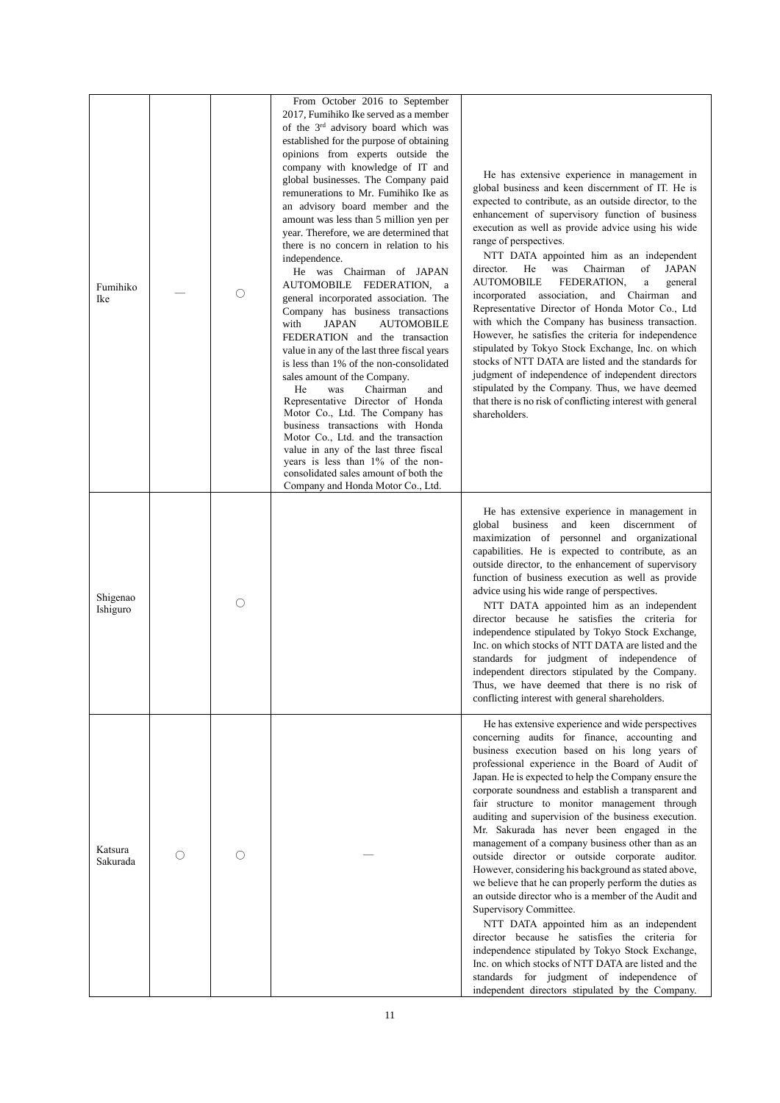| Fumihiko<br>Ike      |    | O          | From October 2016 to September<br>2017, Fumihiko Ike served as a member<br>of the 3 <sup>rd</sup> advisory board which was<br>established for the purpose of obtaining<br>opinions from experts outside the<br>company with knowledge of IT and<br>global businesses. The Company paid<br>remunerations to Mr. Fumihiko Ike as<br>an advisory board member and the<br>amount was less than 5 million yen per<br>year. Therefore, we are determined that<br>there is no concern in relation to his<br>independence.<br>He was Chairman of JAPAN<br>AUTOMOBILE FEDERATION, a<br>general incorporated association. The<br>Company has business transactions<br><b>JAPAN</b><br><b>AUTOMOBILE</b><br>with<br>FEDERATION and the transaction<br>value in any of the last three fiscal years<br>is less than 1% of the non-consolidated<br>sales amount of the Company.<br>Chairman<br>He<br>was<br>and<br>Representative Director of Honda<br>Motor Co., Ltd. The Company has<br>business transactions with Honda<br>Motor Co., Ltd. and the transaction<br>value in any of the last three fiscal<br>years is less than 1% of the non-<br>consolidated sales amount of both the<br>Company and Honda Motor Co., Ltd. | He has extensive experience in management in<br>global business and keen discernment of IT. He is<br>expected to contribute, as an outside director, to the<br>enhancement of supervisory function of business<br>execution as well as provide advice using his wide<br>range of perspectives.<br>NTT DATA appointed him as an independent<br>Chairman<br><b>JAPAN</b><br>director.<br>He<br>was<br>of<br><b>AUTOMOBILE</b><br>FEDERATION.<br>$\rm{a}$<br>general<br>incorporated association, and Chairman and<br>Representative Director of Honda Motor Co., Ltd<br>with which the Company has business transaction.<br>However, he satisfies the criteria for independence<br>stipulated by Tokyo Stock Exchange, Inc. on which<br>stocks of NTT DATA are listed and the standards for<br>judgment of independence of independent directors<br>stipulated by the Company. Thus, we have deemed<br>that there is no risk of conflicting interest with general<br>shareholders.                                                                                                                |
|----------------------|----|------------|-----------------------------------------------------------------------------------------------------------------------------------------------------------------------------------------------------------------------------------------------------------------------------------------------------------------------------------------------------------------------------------------------------------------------------------------------------------------------------------------------------------------------------------------------------------------------------------------------------------------------------------------------------------------------------------------------------------------------------------------------------------------------------------------------------------------------------------------------------------------------------------------------------------------------------------------------------------------------------------------------------------------------------------------------------------------------------------------------------------------------------------------------------------------------------------------------------------------|-------------------------------------------------------------------------------------------------------------------------------------------------------------------------------------------------------------------------------------------------------------------------------------------------------------------------------------------------------------------------------------------------------------------------------------------------------------------------------------------------------------------------------------------------------------------------------------------------------------------------------------------------------------------------------------------------------------------------------------------------------------------------------------------------------------------------------------------------------------------------------------------------------------------------------------------------------------------------------------------------------------------------------------------------------------------------------------------------|
| Shigenao<br>Ishiguro |    | $\bigcirc$ |                                                                                                                                                                                                                                                                                                                                                                                                                                                                                                                                                                                                                                                                                                                                                                                                                                                                                                                                                                                                                                                                                                                                                                                                                 | He has extensive experience in management in<br>global business<br>and keen discernment of<br>maximization of personnel and organizational<br>capabilities. He is expected to contribute, as an<br>outside director, to the enhancement of supervisory<br>function of business execution as well as provide<br>advice using his wide range of perspectives.<br>NTT DATA appointed him as an independent<br>director because he satisfies the criteria for<br>independence stipulated by Tokyo Stock Exchange,<br>Inc. on which stocks of NTT DATA are listed and the<br>standards for judgment of independence of<br>independent directors stipulated by the Company.<br>Thus, we have deemed that there is no risk of<br>conflicting interest with general shareholders.                                                                                                                                                                                                                                                                                                                       |
| Katsura<br>Sakurada  | () | ∩          |                                                                                                                                                                                                                                                                                                                                                                                                                                                                                                                                                                                                                                                                                                                                                                                                                                                                                                                                                                                                                                                                                                                                                                                                                 | He has extensive experience and wide perspectives<br>concerning audits for finance, accounting and<br>business execution based on his long years of<br>professional experience in the Board of Audit of<br>Japan. He is expected to help the Company ensure the<br>corporate soundness and establish a transparent and<br>fair structure to monitor management through<br>auditing and supervision of the business execution.<br>Mr. Sakurada has never been engaged in the<br>management of a company business other than as an<br>outside director or outside corporate auditor.<br>However, considering his background as stated above,<br>we believe that he can properly perform the duties as<br>an outside director who is a member of the Audit and<br>Supervisory Committee.<br>NTT DATA appointed him as an independent<br>director because he satisfies the criteria for<br>independence stipulated by Tokyo Stock Exchange,<br>Inc. on which stocks of NTT DATA are listed and the<br>standards for judgment of independence of<br>independent directors stipulated by the Company. |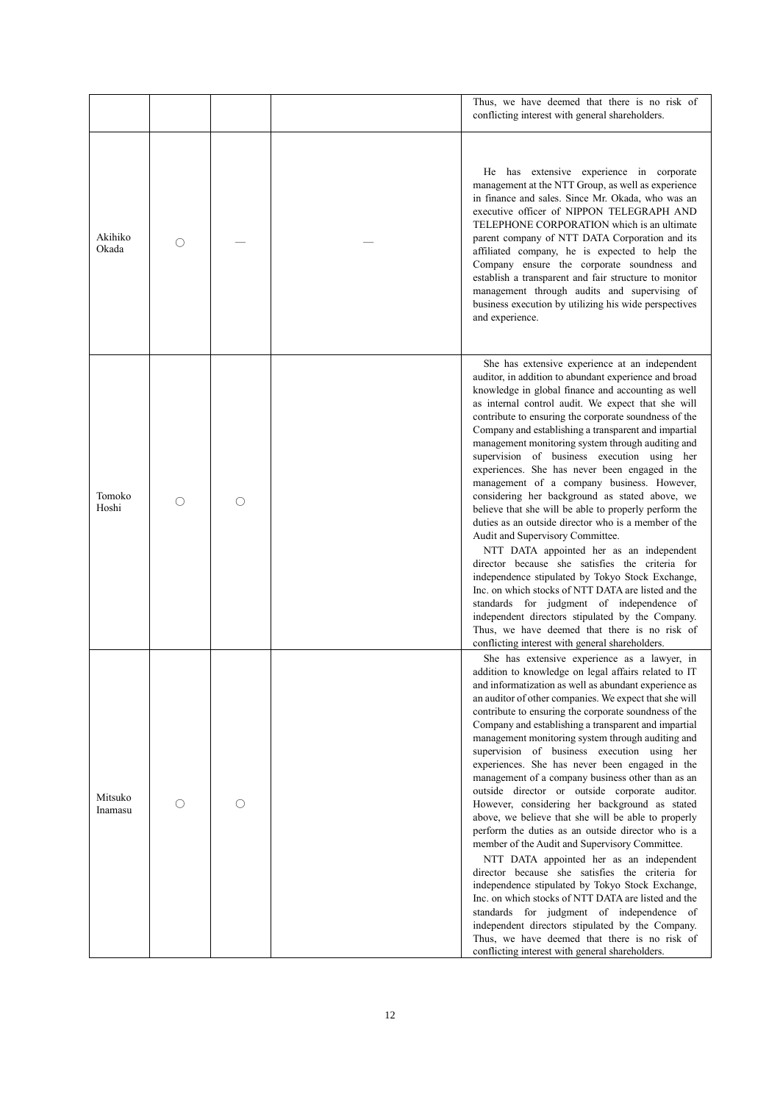|                    |   |   | Thus, we have deemed that there is no risk of<br>conflicting interest with general shareholders.                                                                                                                                                                                                                                                                                                                                                                                                                                                                                                                                                                                                                                                                                                                                                                                                                                                                                                                                                                                                                                                                                                                                     |
|--------------------|---|---|--------------------------------------------------------------------------------------------------------------------------------------------------------------------------------------------------------------------------------------------------------------------------------------------------------------------------------------------------------------------------------------------------------------------------------------------------------------------------------------------------------------------------------------------------------------------------------------------------------------------------------------------------------------------------------------------------------------------------------------------------------------------------------------------------------------------------------------------------------------------------------------------------------------------------------------------------------------------------------------------------------------------------------------------------------------------------------------------------------------------------------------------------------------------------------------------------------------------------------------|
| Akihiko<br>Okada   | O |   | He has extensive experience in corporate<br>management at the NTT Group, as well as experience<br>in finance and sales. Since Mr. Okada, who was an<br>executive officer of NIPPON TELEGRAPH AND<br>TELEPHONE CORPORATION which is an ultimate<br>parent company of NTT DATA Corporation and its<br>affiliated company, he is expected to help the<br>Company ensure the corporate soundness and<br>establish a transparent and fair structure to monitor<br>management through audits and supervising of<br>business execution by utilizing his wide perspectives<br>and experience.                                                                                                                                                                                                                                                                                                                                                                                                                                                                                                                                                                                                                                                |
| Tomoko<br>Hoshi    | ∩ | ∩ | She has extensive experience at an independent<br>auditor, in addition to abundant experience and broad<br>knowledge in global finance and accounting as well<br>as internal control audit. We expect that she will<br>contribute to ensuring the corporate soundness of the<br>Company and establishing a transparent and impartial<br>management monitoring system through auditing and<br>supervision of business execution using her<br>experiences. She has never been engaged in the<br>management of a company business. However,<br>considering her background as stated above, we<br>believe that she will be able to properly perform the<br>duties as an outside director who is a member of the<br>Audit and Supervisory Committee.<br>NTT DATA appointed her as an independent<br>director because she satisfies the criteria for<br>independence stipulated by Tokyo Stock Exchange,<br>Inc. on which stocks of NTT DATA are listed and the<br>standards for judgment of independence of<br>independent directors stipulated by the Company.<br>Thus, we have deemed that there is no risk of<br>conflicting interest with general shareholders.                                                                       |
| Mitsuko<br>Inamasu | Ο | ∩ | She has extensive experience as a lawyer, in<br>addition to knowledge on legal affairs related to IT<br>and informatization as well as abundant experience as<br>an auditor of other companies. We expect that she will<br>contribute to ensuring the corporate soundness of the<br>Company and establishing a transparent and impartial<br>management monitoring system through auditing and<br>supervision of business execution using her<br>experiences. She has never been engaged in the<br>management of a company business other than as an<br>outside director or outside corporate auditor.<br>However, considering her background as stated<br>above, we believe that she will be able to properly<br>perform the duties as an outside director who is a<br>member of the Audit and Supervisory Committee.<br>NTT DATA appointed her as an independent<br>director because she satisfies the criteria for<br>independence stipulated by Tokyo Stock Exchange,<br>Inc. on which stocks of NTT DATA are listed and the<br>standards for judgment of independence of<br>independent directors stipulated by the Company.<br>Thus, we have deemed that there is no risk of<br>conflicting interest with general shareholders. |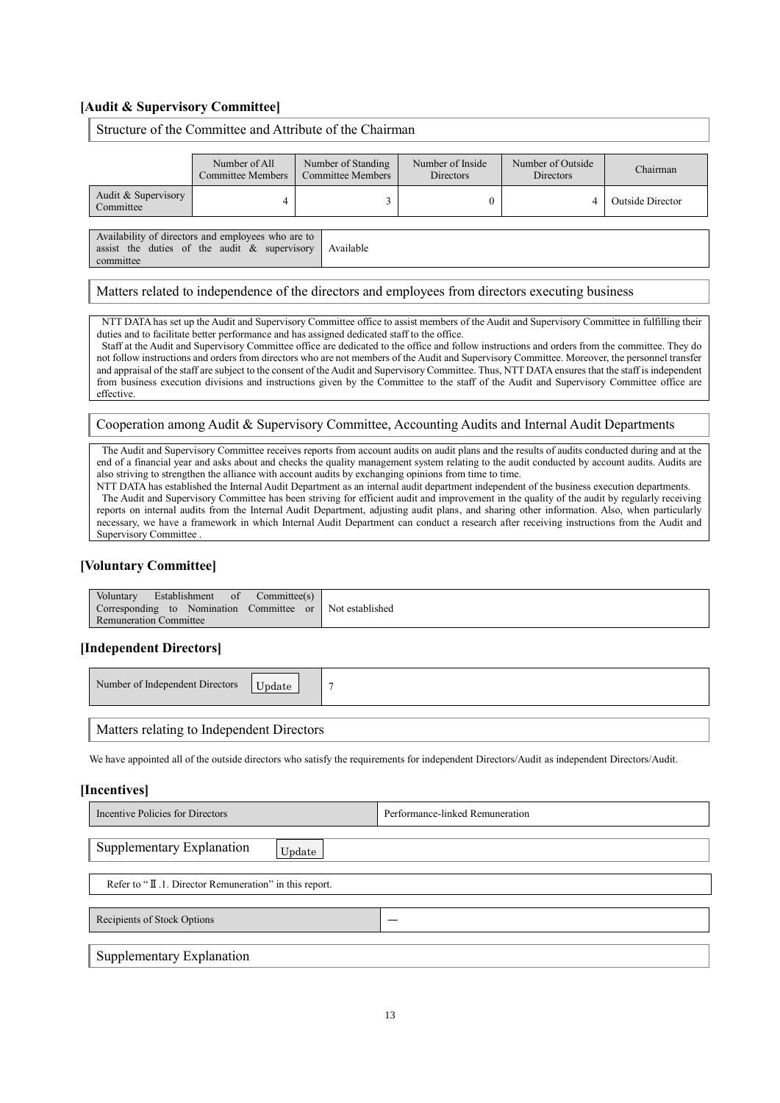# **[Audit & Supervisory Committee]**

# Structure of the Committee and Attribute of the Chairman

|                                  | Number of All<br>Committee Members | Number of Standing<br>Committee Members | Number of Inside<br><b>Directors</b> | Number of Outside<br><b>Directors</b> | Chairman                |
|----------------------------------|------------------------------------|-----------------------------------------|--------------------------------------|---------------------------------------|-------------------------|
| Audit & Supervisory<br>Committee |                                    |                                         |                                      |                                       | <b>Outside Director</b> |

Availability of directors and employees who are to assist the duties of the audit & supervisory committee Available

### Matters related to independence of the directors and employees from directors executing business

NTT DATA has set up the Audit and Supervisory Committee office to assist members of the Audit and Supervisory Committee in fulfilling their duties and to facilitate better performance and has assigned dedicated staff to the office.

Staff at the Audit and Supervisory Committee office are dedicated to the office and follow instructions and orders from the committee. They do not follow instructions and orders from directors who are not members of the Audit and Supervisory Committee. Moreover, the personnel transfer and appraisal of the staff are subject to the consent of the Audit and Supervisory Committee. Thus, NTT DATA ensures that the staff is independent from business execution divisions and instructions given by the Committee to the staff of the Audit and Supervisory Committee office are effective.

#### Cooperation among Audit & Supervisory Committee, Accounting Audits and Internal Audit Departments

The Audit and Supervisory Committee receives reports from account audits on audit plans and the results of audits conducted during and at the end of a financial year and asks about and checks the quality management system relating to the audit conducted by account audits. Audits are also striving to strengthen the alliance with account audits by exchanging opinions from time to time.

NTT DATA has established the Internal Audit Department as an internal audit department independent of the business execution departments. The Audit and Supervisory Committee has been striving for efficient audit and improvement in the quality of the audit by regularly receiving reports on internal audits from the Internal Audit Department, adjusting audit plans, and sharing other information. Also, when particularly necessary, we have a framework in which Internal Audit Department can conduct a research after receiving instructions from the Audit and Supervisory Committee

# **[Voluntary Committee]**

| Voluntary<br><b>Establishment</b> of Committee(s)        |  |
|----------------------------------------------------------|--|
| Corresponding to Nomination Committee or Not established |  |
| <b>Remuneration Committee</b>                            |  |

# **[Independent Directors]**

| Number of Independent Directors<br>Update |  |
|-------------------------------------------|--|
|                                           |  |
| Matters relating to Independent Directors |  |

We have appointed all of the outside directors who satisfy the requirements for independent Directors/Audit as independent Directors/Audit.

#### **[Incentives]**

| Incentive Policies for Directors                       | Performance-linked Remuneration |  |  |  |
|--------------------------------------------------------|---------------------------------|--|--|--|
| Supplementary Explanation<br>Update                    |                                 |  |  |  |
| Refer to "II.1. Director Remuneration" in this report. |                                 |  |  |  |
| Recipients of Stock Options                            |                                 |  |  |  |
| Supplementary Explanation                              |                                 |  |  |  |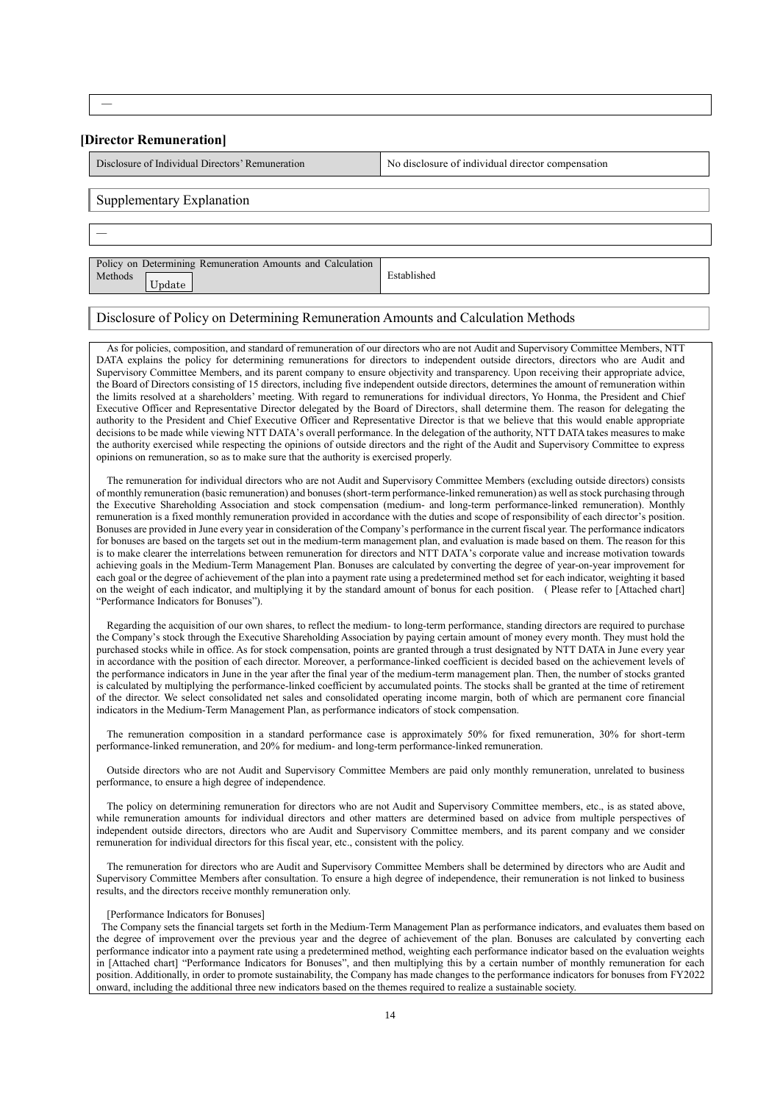―

#### **[Director Remuneration]**

Disclosure of Individual Directors' Remuneration No disclosure of individual director compensation

#### Supplementary Explanation

―

Policy on Determining Remuneration Amounts and Calculation Methods Established Update

# Disclosure of Policy on Determining Remuneration Amounts and Calculation Methods

As for policies, composition, and standard of remuneration of our directors who are not Audit and Supervisory Committee Members, NTT DATA explains the policy for determining remunerations for directors to independent outside directors, directors who are Audit and Supervisory Committee Members, and its parent company to ensure objectivity and transparency. Upon receiving their appropriate advice, the Board of Directors consisting of 15 directors, including five independent outside directors, determines the amount of remuneration within the limits resolved at a shareholders' meeting. With regard to remunerations for individual directors, Yo Honma, the President and Chief Executive Officer and Representative Director delegated by the Board of Directors, shall determine them. The reason for delegating the authority to the President and Chief Executive Officer and Representative Director is that we believe that this would enable appropriate decisions to be made while viewing NTT DATA's overall performance. In the delegation of the authority, NTT DATA takes measures to make the authority exercised while respecting the opinions of outside directors and the right of the Audit and Supervisory Committee to express opinions on remuneration, so as to make sure that the authority is exercised properly.

The remuneration for individual directors who are not Audit and Supervisory Committee Members (excluding outside directors) consists of monthly remuneration (basic remuneration) and bonuses (short-term performance-linked remuneration) as well as stock purchasing through the Executive Shareholding Association and stock compensation (medium- and long-term performance-linked remuneration). Monthly remuneration is a fixed monthly remuneration provided in accordance with the duties and scope of responsibility of each director's position. Bonuses are provided in June every year in consideration of the Company's performance in the current fiscal year. The performance indicators for bonuses are based on the targets set out in the medium-term management plan, and evaluation is made based on them. The reason for this is to make clearer the interrelations between remuneration for directors and NTT DATA's corporate value and increase motivation towards achieving goals in the Medium-Term Management Plan. Bonuses are calculated by converting the degree of year-on-year improvement for each goal or the degree of achievement of the plan into a payment rate using a predetermined method set for each indicator, weighting it based on the weight of each indicator, and multiplying it by the standard amount of bonus for each position. ( Please refer to [Attached chart] "Performance Indicators for Bonuses").

Regarding the acquisition of our own shares, to reflect the medium- to long-term performance, standing directors are required to purchase the Company's stock through the Executive Shareholding Association by paying certain amount of money every month. They must hold the purchased stocks while in office. As for stock compensation, points are granted through a trust designated by NTT DATA in June every year in accordance with the position of each director. Moreover, a performance-linked coefficient is decided based on the achievement levels of the performance indicators in June in the year after the final year of the medium-term management plan. Then, the number of stocks granted is calculated by multiplying the performance-linked coefficient by accumulated points. The stocks shall be granted at the time of retirement of the director. We select consolidated net sales and consolidated operating income margin, both of which are permanent core financial indicators in the Medium-Term Management Plan, as performance indicators of stock compensation.

The remuneration composition in a standard performance case is approximately 50% for fixed remuneration, 30% for short-term performance-linked remuneration, and 20% for medium- and long-term performance-linked remuneration.

Outside directors who are not Audit and Supervisory Committee Members are paid only monthly remuneration, unrelated to business performance, to ensure a high degree of independence.

The policy on determining remuneration for directors who are not Audit and Supervisory Committee members, etc., is as stated above, while remuneration amounts for individual directors and other matters are determined based on advice from multiple perspectives of independent outside directors, directors who are Audit and Supervisory Committee members, and its parent company and we consider remuneration for individual directors for this fiscal year, etc., consistent with the policy.

The remuneration for directors who are Audit and Supervisory Committee Members shall be determined by directors who are Audit and Supervisory Committee Members after consultation. To ensure a high degree of independence, their remuneration is not linked to business results, and the directors receive monthly remuneration only.

#### [Performance Indicators for Bonuses]

The Company sets the financial targets set forth in the Medium-Term Management Plan as performance indicators, and evaluates them based on the degree of improvement over the previous year and the degree of achievement of the plan. Bonuses are calculated by converting each performance indicator into a payment rate using a predetermined method, weighting each performance indicator based on the evaluation weights in [Attached chart] "Performance Indicators for Bonuses", and then multiplying this by a certain number of monthly remuneration for each position. Additionally, in order to promote sustainability, the Company has made changes to the performance indicators for bonuses from FY2022 onward, including the additional three new indicators based on the themes required to realize a sustainable society.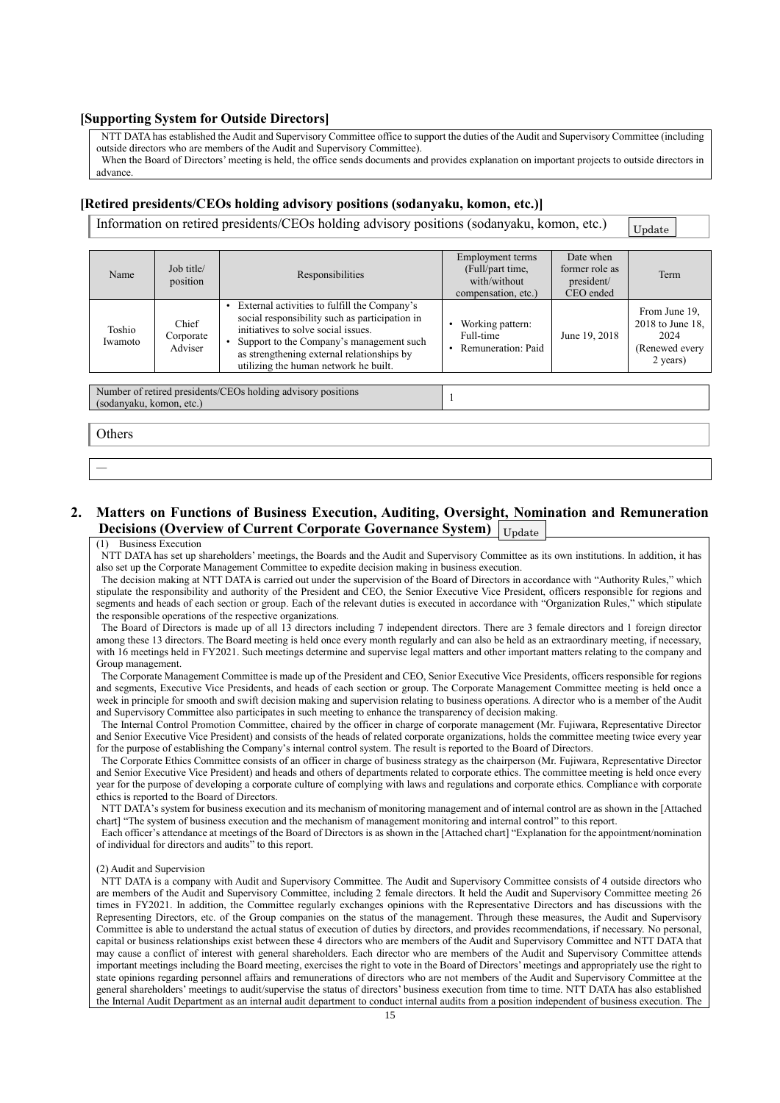### **[Supporting System for Outside Directors]**

NTT DATA has established the Audit and Supervisory Committee office to support the duties of the Audit and Supervisory Committee (including outside directors who are members of the Audit and Supervisory Committee).

When the Board of Directors' meeting is held, the office sends documents and provides explanation on important projects to outside directors in advance.

### **[Retired presidents/CEOs holding advisory positions (sodanyaku, komon, etc.)]**

Information on retired presidents/CEOs holding advisory positions (sodanyaku, komon, etc.)

| Update |  |
|--------|--|
|        |  |

| Name              | Job title/<br>position        | Responsibilities                                                                                                                                                                                                                                                         | Employment terms<br>(Full/part time,<br>with/without<br>compensation, etc.) | Date when<br>former role as<br>president/<br>CEO ended | Term                                                                     |
|-------------------|-------------------------------|--------------------------------------------------------------------------------------------------------------------------------------------------------------------------------------------------------------------------------------------------------------------------|-----------------------------------------------------------------------------|--------------------------------------------------------|--------------------------------------------------------------------------|
| Toshio<br>Iwamoto | Chief<br>Corporate<br>Adviser | External activities to fulfill the Company's<br>social responsibility such as participation in<br>initiatives to solve social issues.<br>Support to the Company's management such<br>as strengthening external relationships by<br>utilizing the human network he built. | Working pattern:<br>Full-time<br>Remuneration: Paid                         | June 19, 2018                                          | From June 19.<br>2018 to June 18,<br>2024<br>(Renewed every)<br>2 years) |

Number of retired presidents/CEOs holding advisory positions (sodanyaku, komon, etc.) <sup>1</sup>

**Others** 

―

**2. Matters on Functions of Business Execution, Auditing, Oversight, Nomination and Remuneration Decisions (Overview of Current Corporate Governance System)** Update

#### (1) Business Execution

NTT DATA has set up shareholders' meetings, the Boards and the Audit and Supervisory Committee as its own institutions. In addition, it has also set up the Corporate Management Committee to expedite decision making in business execution.

The decision making at NTT DATA is carried out under the supervision of the Board of Directors in accordance with "Authority Rules," which stipulate the responsibility and authority of the President and CEO, the Senior Executive Vice President, officers responsible for regions and segments and heads of each section or group. Each of the relevant duties is executed in accordance with "Organization Rules," which stipulate the responsible operations of the respective organizations.

The Board of Directors is made up of all 13 directors including 7 independent directors. There are 3 female directors and 1 foreign director among these 13 directors. The Board meeting is held once every month regularly and can also be held as an extraordinary meeting, if necessary, with 16 meetings held in FY2021. Such meetings determine and supervise legal matters and other important matters relating to the company and Group management.

The Corporate Management Committee is made up of the President and CEO, Senior Executive Vice Presidents, officers responsible for regions and segments, Executive Vice Presidents, and heads of each section or group. The Corporate Management Committee meeting is held once a week in principle for smooth and swift decision making and supervision relating to business operations. A director who is a member of the Audit and Supervisory Committee also participates in such meeting to enhance the transparency of decision making.

The Internal Control Promotion Committee, chaired by the officer in charge of corporate management (Mr. Fujiwara, Representative Director and Senior Executive Vice President) and consists of the heads of related corporate organizations, holds the committee meeting twice every year for the purpose of establishing the Company's internal control system. The result is reported to the Board of Directors.

The Corporate Ethics Committee consists of an officer in charge of business strategy as the chairperson (Mr. Fujiwara, Representative Director and Senior Executive Vice President) and heads and others of departments related to corporate ethics. The committee meeting is held once every year for the purpose of developing a corporate culture of complying with laws and regulations and corporate ethics. Compliance with corporate ethics is reported to the Board of Directors.

NTT DATA's system for business execution and its mechanism of monitoring management and of internal control are as shown in the [Attached] chart] "The system of business execution and the mechanism of management monitoring and internal control" to this report.

Each officer's attendance at meetings of the Board of Directors is as shown in the [Attached chart] "Explanation for the appointment/nomination of individual for directors and audits" to this report.

### (2) Audit and Supervision

NTT DATA is a company with Audit and Supervisory Committee. The Audit and Supervisory Committee consists of 4 outside directors who are members of the Audit and Supervisory Committee, including 2 female directors. It held the Audit and Supervisory Committee meeting 26 times in FY2021. In addition, the Committee regularly exchanges opinions with the Representative Directors and has discussions with the Representing Directors, etc. of the Group companies on the status of the management. Through these measures, the Audit and Supervisory Committee is able to understand the actual status of execution of duties by directors, and provides recommendations, if necessary. No personal, capital or business relationships exist between these 4 directors who are members of the Audit and Supervisory Committee and NTT DATA that may cause a conflict of interest with general shareholders. Each director who are members of the Audit and Supervisory Committee attends important meetings including the Board meeting, exercises the right to vote in the Board of Directors' meetings and appropriately use the right to state opinions regarding personnel affairs and remunerations of directors who are not members of the Audit and Supervisory Committee at the general shareholders' meetings to audit/supervise the status of directors' business execution from time to time. NTT DATA has also established the Internal Audit Department as an internal audit department to conduct internal audits from a position independent of business execution. The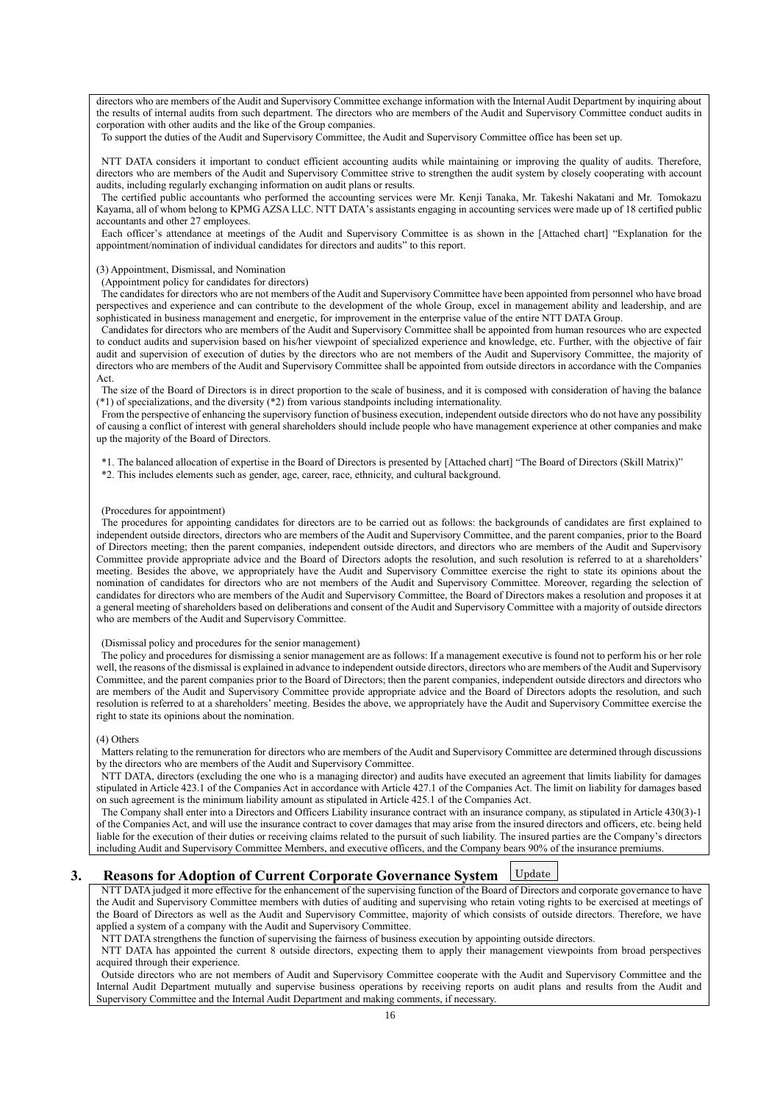directors who are members of the Audit and Supervisory Committee exchange information with the Internal Audit Department by inquiring about the results of internal audits from such department. The directors who are members of the Audit and Supervisory Committee conduct audits in corporation with other audits and the like of the Group companies.

To support the duties of the Audit and Supervisory Committee, the Audit and Supervisory Committee office has been set up.

NTT DATA considers it important to conduct efficient accounting audits while maintaining or improving the quality of audits. Therefore, directors who are members of the Audit and Supervisory Committee strive to strengthen the audit system by closely cooperating with account audits, including regularly exchanging information on audit plans or results.

The certified public accountants who performed the accounting services were Mr. Kenji Tanaka, Mr. Takeshi Nakatani and Mr. Tomokazu Kayama, all of whom belong to KPMG AZSA LLC. NTT DATA's assistants engaging in accounting services were made up of 18 certified public accountants and other 27 employees.

Each officer's attendance at meetings of the Audit and Supervisory Committee is as shown in the [Attached chart] "Explanation for the appointment/nomination of individual candidates for directors and audits" to this report.

#### (3) Appointment, Dismissal, and Nomination

#### (Appointment policy for candidates for directors)

The candidates for directors who are not members of the Audit and Supervisory Committee have been appointed from personnel who have broad perspectives and experience and can contribute to the development of the whole Group, excel in management ability and leadership, and are sophisticated in business management and energetic, for improvement in the enterprise value of the entire NTT DATA Group.

Candidates for directors who are members of the Audit and Supervisory Committee shall be appointed from human resources who are expected to conduct audits and supervision based on his/her viewpoint of specialized experience and knowledge, etc. Further, with the objective of fair audit and supervision of execution of duties by the directors who are not members of the Audit and Supervisory Committee, the majority of directors who are members of the Audit and Supervisory Committee shall be appointed from outside directors in accordance with the Companies Act.

The size of the Board of Directors is in direct proportion to the scale of business, and it is composed with consideration of having the balance (\*1) of specializations, and the diversity (\*2) from various standpoints including internationality.

From the perspective of enhancing the supervisory function of business execution, independent outside directors who do not have any possibility of causing a conflict of interest with general shareholders should include people who have management experience at other companies and make up the majority of the Board of Directors.

\*1. The balanced allocation of expertise in the Board of Directors is presented by [Attached chart] "The Board of Directors (Skill Matrix)" \*2. This includes elements such as gender, age, career, race, ethnicity, and cultural background.

#### (Procedures for appointment)

The procedures for appointing candidates for directors are to be carried out as follows: the backgrounds of candidates are first explained to independent outside directors, directors who are members of the Audit and Supervisory Committee, and the parent companies, prior to the Board of Directors meeting; then the parent companies, independent outside directors, and directors who are members of the Audit and Supervisory Committee provide appropriate advice and the Board of Directors adopts the resolution, and such resolution is referred to at a shareholders' meeting. Besides the above, we appropriately have the Audit and Supervisory Committee exercise the right to state its opinions about the nomination of candidates for directors who are not members of the Audit and Supervisory Committee. Moreover, regarding the selection of candidates for directors who are members of the Audit and Supervisory Committee, the Board of Directors makes a resolution and proposes it at a general meeting of shareholders based on deliberations and consent of the Audit and Supervisory Committee with a majority of outside directors who are members of the Audit and Supervisory Committee.

#### (Dismissal policy and procedures for the senior management)

The policy and procedures for dismissing a senior management are as follows: If a management executive is found not to perform his or her role well, the reasons of the dismissal is explained in advance to independent outside directors, directors who are members of the Audit and Supervisory Committee, and the parent companies prior to the Board of Directors; then the parent companies, independent outside directors and directors who are members of the Audit and Supervisory Committee provide appropriate advice and the Board of Directors adopts the resolution, and such resolution is referred to at a shareholders' meeting. Besides the above, we appropriately have the Audit and Supervisory Committee exercise the right to state its opinions about the nomination.

# (4) Others

Matters relating to the remuneration for directors who are members of the Audit and Supervisory Committee are determined through discussions by the directors who are members of the Audit and Supervisory Committee.

NTT DATA, directors (excluding the one who is a managing director) and audits have executed an agreement that limits liability for damages stipulated in Article 423.1 of the Companies Act in accordance with Article 427.1 of the Companies Act. The limit on liability for damages based on such agreement is the minimum liability amount as stipulated in Article 425.1 of the Companies Act.

The Company shall enter into a Directors and Officers Liability insurance contract with an insurance company, as stipulated in Article 430(3)-1 of the Companies Act, and will use the insurance contract to cover damages that may arise from the insured directors and officers, etc. being held liable for the execution of their duties or receiving claims related to the pursuit of such liability. The insured parties are the Company's directors including Audit and Supervisory Committee Members, and executive officers, and the Company bears 90% of the insurance premiums.

#### **3. Reasons for Adoption of Current Corporate Governance System** Update

NTT DATA judged it more effective for the enhancement of the supervising function of the Board of Directors and corporate governance to have the Audit and Supervisory Committee members with duties of auditing and supervising who retain voting rights to be exercised at meetings of the Board of Directors as well as the Audit and Supervisory Committee, majority of which consists of outside directors. Therefore, we have applied a system of a company with the Audit and Supervisory Committee.

NTT DATA strengthens the function of supervising the fairness of business execution by appointing outside directors.

NTT DATA has appointed the current 8 outside directors, expecting them to apply their management viewpoints from broad perspectives acquired through their experience.

Outside directors who are not members of Audit and Supervisory Committee cooperate with the Audit and Supervisory Committee and the Internal Audit Department mutually and supervise business operations by receiving reports on audit plans and results from the Audit and Supervisory Committee and the Internal Audit Department and making comments, if necessary.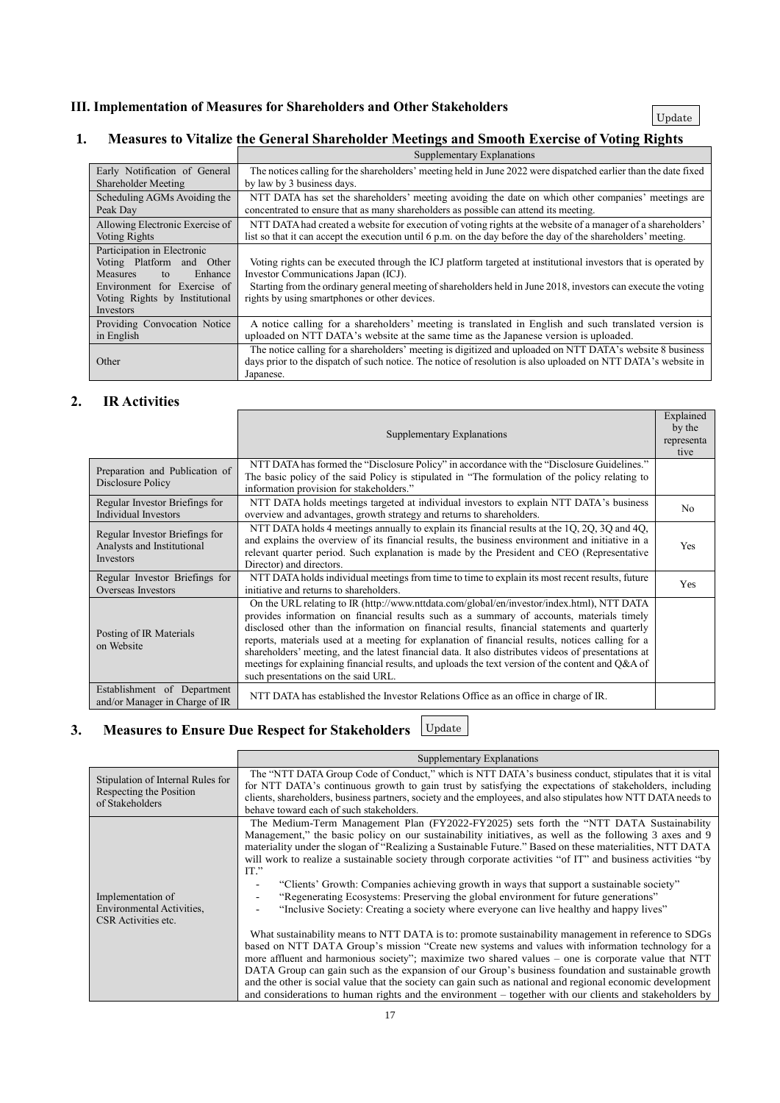# **1. Measures to Vitalize the General Shareholder Meetings and Smooth Exercise of Voting Rights**

|                                                                                                                                                                               | Supplementary Explanations                                                                                                                                                                                                                                                                                                |
|-------------------------------------------------------------------------------------------------------------------------------------------------------------------------------|---------------------------------------------------------------------------------------------------------------------------------------------------------------------------------------------------------------------------------------------------------------------------------------------------------------------------|
| Early Notification of General                                                                                                                                                 | The notices calling for the shareholders' meeting held in June 2022 were dispatched earlier than the date fixed                                                                                                                                                                                                           |
| Shareholder Meeting                                                                                                                                                           | by law by 3 business days.                                                                                                                                                                                                                                                                                                |
| Scheduling AGMs Avoiding the                                                                                                                                                  | NTT DATA has set the shareholders' meeting avoiding the date on which other companies' meetings are                                                                                                                                                                                                                       |
| Peak Day                                                                                                                                                                      | concentrated to ensure that as many shareholders as possible can attend its meeting.                                                                                                                                                                                                                                      |
| Allowing Electronic Exercise of                                                                                                                                               | NTT DATA had created a website for execution of voting rights at the website of a manager of a shareholders'                                                                                                                                                                                                              |
| <b>Voting Rights</b>                                                                                                                                                          | list so that it can accept the execution until 6 p.m. on the day before the day of the shareholders' meeting.                                                                                                                                                                                                             |
| Participation in Electronic<br>Voting Platform<br>and Other<br>Enhance<br><b>Measures</b><br>to<br>Environment for Exercise of<br>Voting Rights by Institutional<br>Investors | Voting rights can be executed through the ICJ platform targeted at institutional investors that is operated by<br>Investor Communications Japan (ICJ).<br>Starting from the ordinary general meeting of shareholders held in June 2018, investors can execute the voting<br>rights by using smartphones or other devices. |
| Providing Convocation Notice                                                                                                                                                  | A notice calling for a shareholders' meeting is translated in English and such translated version is                                                                                                                                                                                                                      |
| in English                                                                                                                                                                    | uploaded on NTT DATA's website at the same time as the Japanese version is uploaded.                                                                                                                                                                                                                                      |
| Other                                                                                                                                                                         | The notice calling for a shareholders' meeting is digitized and uploaded on NTT DATA's website 8 business<br>days prior to the dispatch of such notice. The notice of resolution is also uploaded on NTT DATA's website in<br>Japanese.                                                                                   |

# **2. IR Activities**

|                                                                           | Supplementary Explanations                                                                                                                                                                                                                                                                                                                                                                                                                                                                                                                                                                                                                       | Explained<br>by the<br>representa<br>tive |
|---------------------------------------------------------------------------|--------------------------------------------------------------------------------------------------------------------------------------------------------------------------------------------------------------------------------------------------------------------------------------------------------------------------------------------------------------------------------------------------------------------------------------------------------------------------------------------------------------------------------------------------------------------------------------------------------------------------------------------------|-------------------------------------------|
| Preparation and Publication of<br>Disclosure Policy                       | NTT DATA has formed the "Disclosure Policy" in accordance with the "Disclosure Guidelines."<br>The basic policy of the said Policy is stipulated in "The formulation of the policy relating to<br>information provision for stakeholders."                                                                                                                                                                                                                                                                                                                                                                                                       |                                           |
| Regular Investor Briefings for<br><b>Individual Investors</b>             | NTT DATA holds meetings targeted at individual investors to explain NTT DATA's business<br>overview and advantages, growth strategy and returns to shareholders.                                                                                                                                                                                                                                                                                                                                                                                                                                                                                 | No.                                       |
| Regular Investor Briefings for<br>Analysts and Institutional<br>Investors | NTT DATA holds 4 meetings annually to explain its financial results at the 1Q, 2Q, 3Q and 4Q,<br>and explains the overview of its financial results, the business environment and initiative in a<br>relevant quarter period. Such explanation is made by the President and CEO (Representative<br>Director) and directors.                                                                                                                                                                                                                                                                                                                      | Yes                                       |
| Regular Investor Briefings for<br>Overseas Investors                      | NTT DATA holds individual meetings from time to time to explain its most recent results, future<br>initiative and returns to shareholders.                                                                                                                                                                                                                                                                                                                                                                                                                                                                                                       | Yes                                       |
| Posting of IR Materials<br>on Website                                     | On the URL relating to IR (http://www.nttdata.com/global/en/investor/index.html), NTT DATA<br>provides information on financial results such as a summary of accounts, materials timely<br>disclosed other than the information on financial results, financial statements and quarterly<br>reports, materials used at a meeting for explanation of financial results, notices calling for a<br>shareholders' meeting, and the latest financial data. It also distributes videos of presentations at<br>meetings for explaining financial results, and uploads the text version of the content and Q&A of<br>such presentations on the said URL. |                                           |
| Establishment of Department<br>and/or Manager in Charge of IR             | NTT DATA has established the Investor Relations Office as an office in charge of IR.                                                                                                                                                                                                                                                                                                                                                                                                                                                                                                                                                             |                                           |

# **3. Measures to Ensure Due Respect for Stakeholders** Update

|                                                                                 | Supplementary Explanations                                                                                                                                                                                                                                                                                                                                                                                                                                                                                                                                                                                                                                                                                            |  |  |  |
|---------------------------------------------------------------------------------|-----------------------------------------------------------------------------------------------------------------------------------------------------------------------------------------------------------------------------------------------------------------------------------------------------------------------------------------------------------------------------------------------------------------------------------------------------------------------------------------------------------------------------------------------------------------------------------------------------------------------------------------------------------------------------------------------------------------------|--|--|--|
| Stipulation of Internal Rules for<br>Respecting the Position<br>of Stakeholders | The "NTT DATA Group Code of Conduct," which is NTT DATA's business conduct, stipulates that it is vital<br>for NTT DATA's continuous growth to gain trust by satisfying the expectations of stakeholders, including<br>clients, shareholders, business partners, society and the employees, and also stipulates how NTT DATA needs to<br>behave toward each of such stakeholders.                                                                                                                                                                                                                                                                                                                                     |  |  |  |
| Implementation of<br>Environmental Activities,<br>CSR Activities etc.           | The Medium-Term Management Plan (FY2022-FY2025) sets forth the "NTT DATA Sustainability<br>Management," the basic policy on our sustainability initiatives, as well as the following 3 axes and 9<br>materiality under the slogan of "Realizing a Sustainable Future." Based on these materialities, NTT DATA<br>will work to realize a sustainable society through corporate activities "of IT" and business activities "by<br>$IT.$ "<br>"Clients' Growth: Companies achieving growth in ways that support a sustainable society"<br>"Regenerating Ecosystems: Preserving the global environment for future generations"<br>"Inclusive Society: Creating a society where everyone can live healthy and happy lives" |  |  |  |
|                                                                                 | What sustainability means to NTT DATA is to: promote sustainability management in reference to SDGs<br>based on NTT DATA Group's mission "Create new systems and values with information technology for a<br>more affluent and harmonious society"; maximize two shared values – one is corporate value that NTT<br>DATA Group can gain such as the expansion of our Group's business foundation and sustainable growth<br>and the other is social value that the society can gain such as national and regional economic development<br>and considerations to human rights and the environment – together with our clients and stakeholders by                                                                       |  |  |  |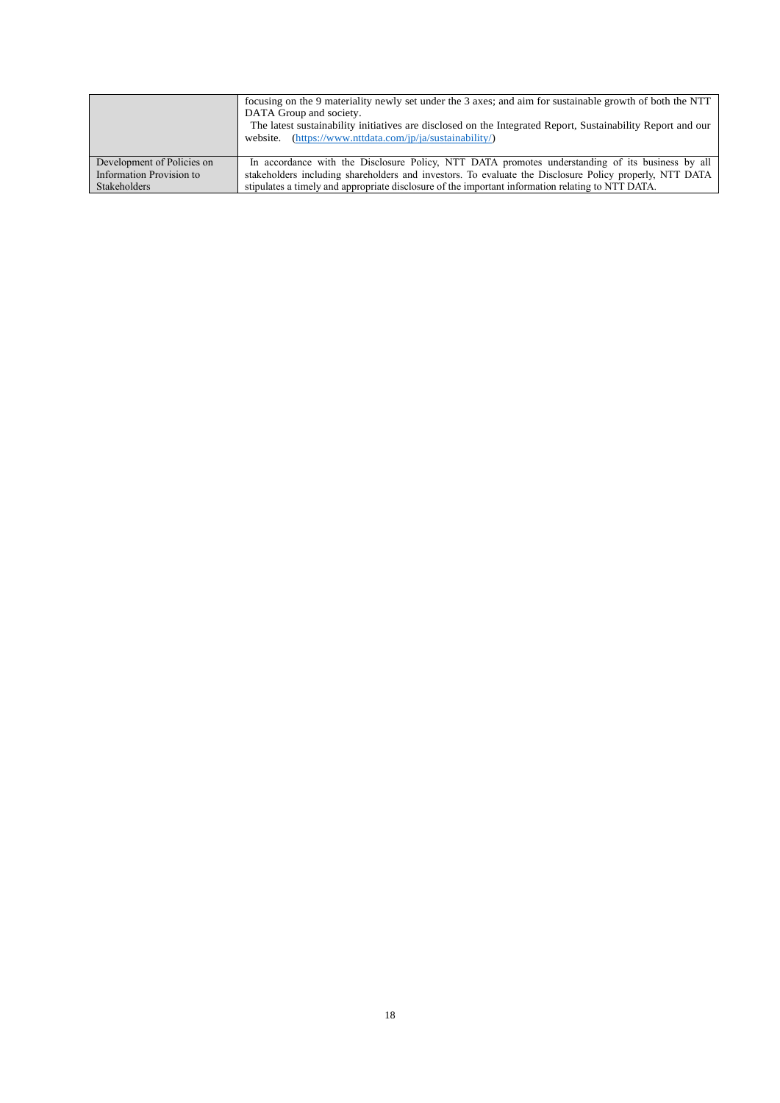|                            | focusing on the 9 materiality newly set under the 3 axes; and aim for sustainable growth of both the NTT<br>DATA Group and society.<br>The latest sustainability initiatives are disclosed on the Integrated Report, Sustainability Report and our<br>website. (https://www.nttdata.com/jp/ja/sustainability/) |
|----------------------------|----------------------------------------------------------------------------------------------------------------------------------------------------------------------------------------------------------------------------------------------------------------------------------------------------------------|
| Development of Policies on | In accordance with the Disclosure Policy, NTT DATA promotes understanding of its business by all                                                                                                                                                                                                               |
| Information Provision to   | stakeholders including shareholders and investors. To evaluate the Disclosure Policy properly, NTT DATA                                                                                                                                                                                                        |
| Stakeholders               | stipulates a timely and appropriate disclosure of the important information relating to NTT DATA.                                                                                                                                                                                                              |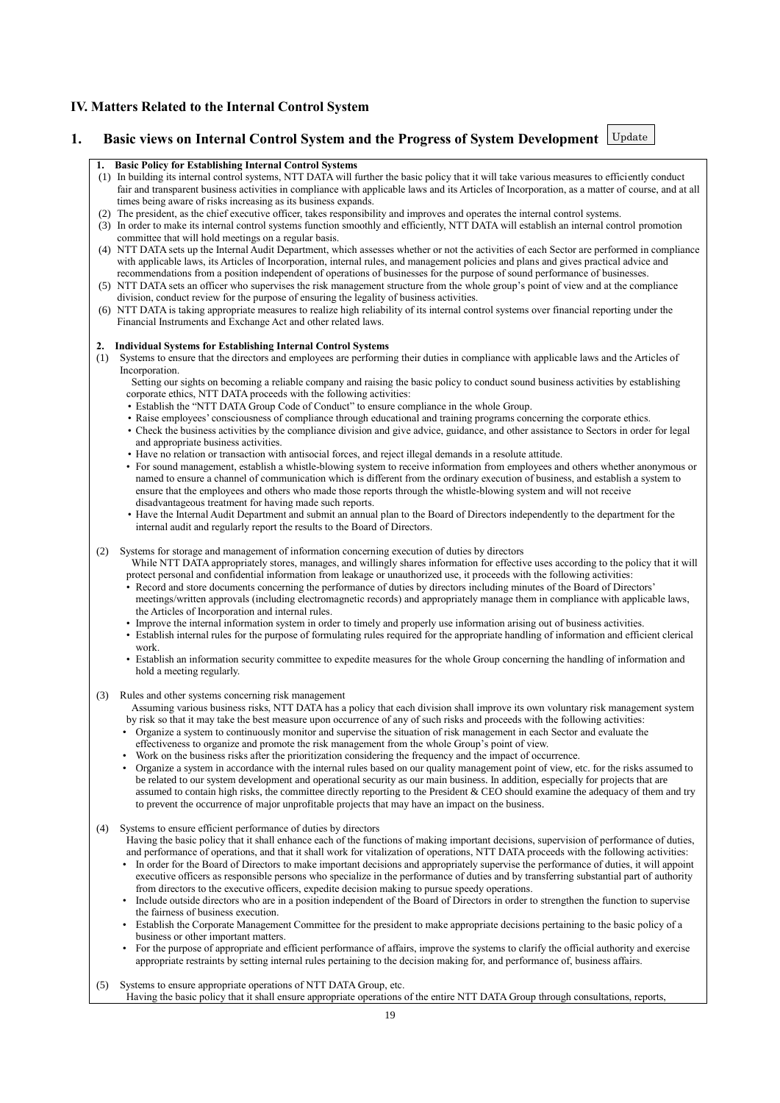# **IV. Matters Related to the Internal Control System**

# **1. Basic views on Internal Control System and the Progress of System Development** Update

# **1. Basic Policy for Establishing Internal Control Systems**

- (1) In building its internal control systems, NTT DATA will further the basic policy that it will take various measures to efficiently conduct fair and transparent business activities in compliance with applicable laws and its Articles of Incorporation, as a matter of course, and at all times being aware of risks increasing as its business expands.
- (2) The president, as the chief executive officer, takes responsibility and improves and operates the internal control systems.
- (3) In order to make its internal control systems function smoothly and efficiently, NTT DATA will establish an internal control promotion committee that will hold meetings on a regular basis.
- (4) NTT DATA sets up the Internal Audit Department, which assesses whether or not the activities of each Sector are performed in compliance with applicable laws, its Articles of Incorporation, internal rules, and management policies and plans and gives practical advice and recommendations from a position independent of operations of businesses for the purpose of sound performance of businesses.
- (5) NTT DATA sets an officer who supervises the risk management structure from the whole group's point of view and at the compliance division, conduct review for the purpose of ensuring the legality of business activities.
- (6) NTT DATA is taking appropriate measures to realize high reliability of its internal control systems over financial reporting under the Financial Instruments and Exchange Act and other related laws.

#### **2. Individual Systems for Establishing Internal Control Systems**

- (1) Systems to ensure that the directors and employees are performing their duties in compliance with applicable laws and the Articles of Incorporation.
	- Setting our sights on becoming a reliable company and raising the basic policy to conduct sound business activities by establishing corporate ethics, NTT DATA proceeds with the following activities:
	- Establish the "NTT DATA Group Code of Conduct" to ensure compliance in the whole Group.
	- Raise employees' consciousness of compliance through educational and training programs concerning the corporate ethics. • Check the business activities by the compliance division and give advice, guidance, and other assistance to Sectors in order for legal
	- and appropriate business activities.
	- Have no relation or transaction with antisocial forces, and reject illegal demands in a resolute attitude.
	- For sound management, establish a whistle-blowing system to receive information from employees and others whether anonymous or named to ensure a channel of communication which is different from the ordinary execution of business, and establish a system to ensure that the employees and others who made those reports through the whistle-blowing system and will not receive disadvantageous treatment for having made such reports.
	- Have the Internal Audit Department and submit an annual plan to the Board of Directors independently to the department for the internal audit and regularly report the results to the Board of Directors.

### (2) Systems for storage and management of information concerning execution of duties by directors

- While NTT DATA appropriately stores, manages, and willingly shares information for effective uses according to the policy that it will protect personal and confidential information from leakage or unauthorized use, it proceeds with the following activities:
- Record and store documents concerning the performance of duties by directors including minutes of the Board of Directors' meetings/written approvals (including electromagnetic records) and appropriately manage them in compliance with applicable laws, the Articles of Incorporation and internal rules.
- Improve the internal information system in order to timely and properly use information arising out of business activities.
- Establish internal rules for the purpose of formulating rules required for the appropriate handling of information and efficient clerical work.
- Establish an information security committee to expedite measures for the whole Group concerning the handling of information and hold a meeting regularly.

### (3) Rules and other systems concerning risk management

- Assuming various business risks, NTT DATA has a policy that each division shall improve its own voluntary risk management system by risk so that it may take the best measure upon occurrence of any of such risks and proceeds with the following activities:
- Organize a system to continuously monitor and supervise the situation of risk management in each Sector and evaluate the
- effectiveness to organize and promote the risk management from the whole Group's point of view.
- Work on the business risks after the prioritization considering the frequency and the impact of occurrence. • Organize a system in accordance with the internal rules based on our quality management point of view, etc. for the risks assumed to be related to our system development and operational security as our main business. In addition, especially for projects that are assumed to contain high risks, the committee directly reporting to the President & CEO should examine the adequacy of them and try to prevent the occurrence of major unprofitable projects that may have an impact on the business.
- (4) Systems to ensure efficient performance of duties by directors
	- Having the basic policy that it shall enhance each of the functions of making important decisions, supervision of performance of duties, and performance of operations, and that it shall work for vitalization of operations, NTT DATA proceeds with the following activities:
	- In order for the Board of Directors to make important decisions and appropriately supervise the performance of duties, it will appoint executive officers as responsible persons who specialize in the performance of duties and by transferring substantial part of authority from directors to the executive officers, expedite decision making to pursue speedy operations.
	- Include outside directors who are in a position independent of the Board of Directors in order to strengthen the function to supervise the fairness of business execution.
	- Establish the Corporate Management Committee for the president to make appropriate decisions pertaining to the basic policy of a business or other important matters.
	- For the purpose of appropriate and efficient performance of affairs, improve the systems to clarify the official authority and exercise appropriate restraints by setting internal rules pertaining to the decision making for, and performance of, business affairs.
- (5) Systems to ensure appropriate operations of NTT DATA Group, etc.
- Having the basic policy that it shall ensure appropriate operations of the entire NTT DATA Group through consultations, reports,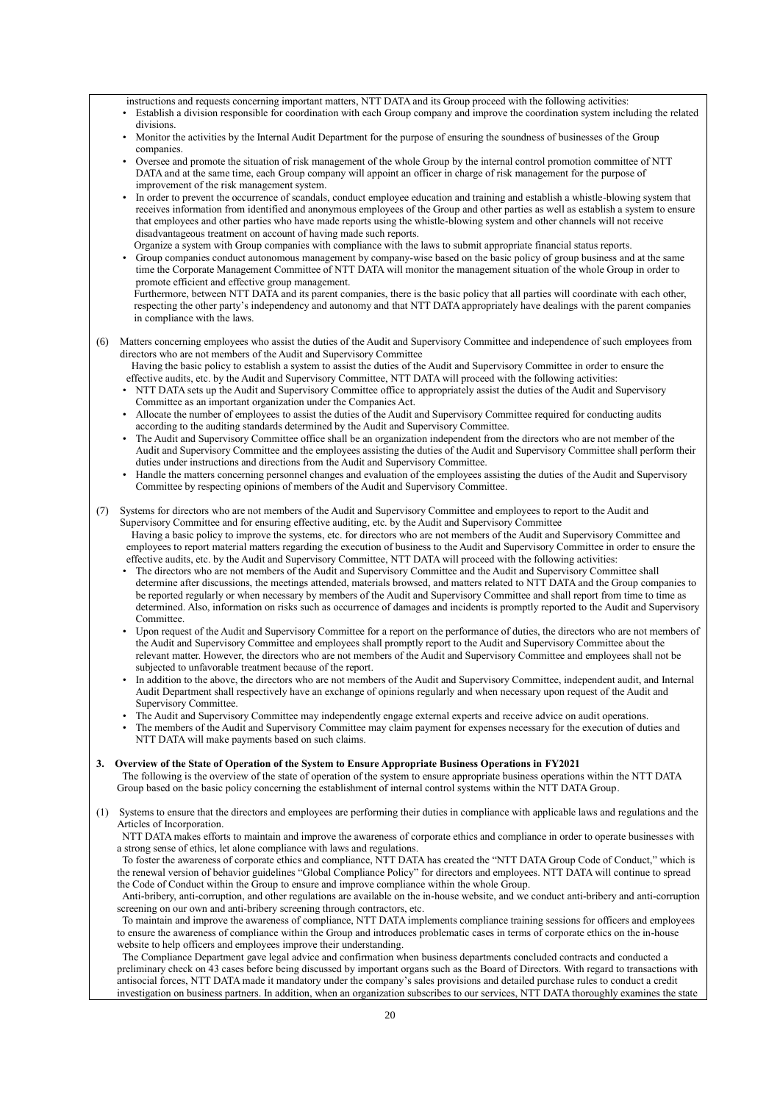instructions and requests concerning important matters, NTT DATA and its Group proceed with the following activities:

- Establish a division responsible for coordination with each Group company and improve the coordination system including the related divisions.
- Monitor the activities by the Internal Audit Department for the purpose of ensuring the soundness of businesses of the Group companies.
- Oversee and promote the situation of risk management of the whole Group by the internal control promotion committee of NTT DATA and at the same time, each Group company will appoint an officer in charge of risk management for the purpose of improvement of the risk management system.
- In order to prevent the occurrence of scandals, conduct employee education and training and establish a whistle-blowing system that receives information from identified and anonymous employees of the Group and other parties as well as establish a system to ensure that employees and other parties who have made reports using the whistle-blowing system and other channels will not receive disadvantageous treatment on account of having made such reports.
- Organize a system with Group companies with compliance with the laws to submit appropriate financial status reports.
- Group companies conduct autonomous management by company-wise based on the basic policy of group business and at the same time the Corporate Management Committee of NTT DATA will monitor the management situation of the whole Group in order to promote efficient and effective group management.

Furthermore, between NTT DATA and its parent companies, there is the basic policy that all parties will coordinate with each other, respecting the other party's independency and autonomy and that NTT DATA appropriately have dealings with the parent companies in compliance with the laws.

(6) Matters concerning employees who assist the duties of the Audit and Supervisory Committee and independence of such employees from directors who are not members of the Audit and Supervisory Committee

Having the basic policy to establish a system to assist the duties of the Audit and Supervisory Committee in order to ensure the effective audits, etc. by the Audit and Supervisory Committee, NTT DATA will proceed with the following activities:

- NTT DATA sets up the Audit and Supervisory Committee office to appropriately assist the duties of the Audit and Supervisory Committee as an important organization under the Companies Act.
- Allocate the number of employees to assist the duties of the Audit and Supervisory Committee required for conducting audits according to the auditing standards determined by the Audit and Supervisory Committee.
- The Audit and Supervisory Committee office shall be an organization independent from the directors who are not member of the Audit and Supervisory Committee and the employees assisting the duties of the Audit and Supervisory Committee shall perform their duties under instructions and directions from the Audit and Supervisory Committee.
- Handle the matters concerning personnel changes and evaluation of the employees assisting the duties of the Audit and Supervisory Committee by respecting opinions of members of the Audit and Supervisory Committee.
- (7) Systems for directors who are not members of the Audit and Supervisory Committee and employees to report to the Audit and Supervisory Committee and for ensuring effective auditing, etc. by the Audit and Supervisory Committee Having a basic policy to improve the systems, etc. for directors who are not members of the Audit and Supervisory Committee and employees to report material matters regarding the execution of business to the Audit and Supervisory Committee in order to ensure the effective audits, etc. by the Audit and Supervisory Committee, NTT DATA will proceed with the following activities:
	- The directors who are not members of the Audit and Supervisory Committee and the Audit and Supervisory Committee shall determine after discussions, the meetings attended, materials browsed, and matters related to NTT DATA and the Group companies to be reported regularly or when necessary by members of the Audit and Supervisory Committee and shall report from time to time as determined. Also, information on risks such as occurrence of damages and incidents is promptly reported to the Audit and Supervisory **Committee**
	- Upon request of the Audit and Supervisory Committee for a report on the performance of duties, the directors who are not members of the Audit and Supervisory Committee and employees shall promptly report to the Audit and Supervisory Committee about the relevant matter. However, the directors who are not members of the Audit and Supervisory Committee and employees shall not be subjected to unfavorable treatment because of the report.
	- In addition to the above, the directors who are not members of the Audit and Supervisory Committee, independent audit, and Internal Audit Department shall respectively have an exchange of opinions regularly and when necessary upon request of the Audit and Supervisory Committee.
	- The Audit and Supervisory Committee may independently engage external experts and receive advice on audit operations.
	- The members of the Audit and Supervisory Committee may claim payment for expenses necessary for the execution of duties and NTT DATA will make payments based on such claims.

### **3. Overview of the State of Operation of the System to Ensure Appropriate Business Operations in FY2021**

The following is the overview of the state of operation of the system to ensure appropriate business operations within the NTT DATA Group based on the basic policy concerning the establishment of internal control systems within the NTT DATA Group.

(1) Systems to ensure that the directors and employees are performing their duties in compliance with applicable laws and regulations and the Articles of Incorporation.

NTT DATA makes efforts to maintain and improve the awareness of corporate ethics and compliance in order to operate businesses with a strong sense of ethics, let alone compliance with laws and regulations.

To foster the awareness of corporate ethics and compliance, NTT DATA has created the "NTT DATA Group Code of Conduct," which is the renewal version of behavior guidelines "Global Compliance Policy" for directors and employees. NTT DATA will continue to spread the Code of Conduct within the Group to ensure and improve compliance within the whole Group.

Anti-bribery, anti-corruption, and other regulations are available on the in-house website, and we conduct anti-bribery and anti-corruption screening on our own and anti-bribery screening through contractors, etc.

To maintain and improve the awareness of compliance, NTT DATA implements compliance training sessions for officers and employees to ensure the awareness of compliance within the Group and introduces problematic cases in terms of corporate ethics on the in-house website to help officers and employees improve their understanding.

The Compliance Department gave legal advice and confirmation when business departments concluded contracts and conducted a preliminary check on 43 cases before being discussed by important organs such as the Board of Directors. With regard to transactions with antisocial forces, NTT DATA made it mandatory under the company's sales provisions and detailed purchase rules to conduct a credit investigation on business partners. In addition, when an organization subscribes to our services, NTT DATA thoroughly examines the state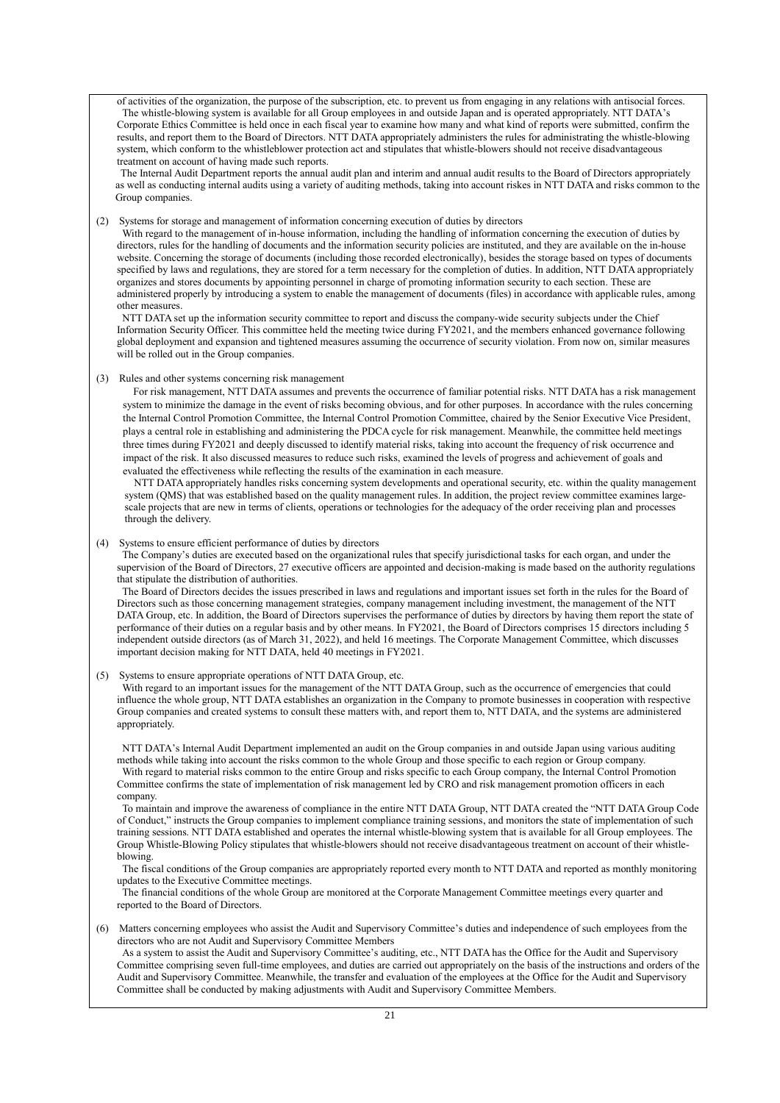of activities of the organization, the purpose of the subscription, etc. to prevent us from engaging in any relations with antisocial forces. The whistle-blowing system is available for all Group employees in and outside Japan and is operated appropriately. NTT DATA's Corporate Ethics Committee is held once in each fiscal year to examine how many and what kind of reports were submitted, confirm the results, and report them to the Board of Directors. NTT DATA appropriately administers the rules for administrating the whistle-blowing system, which conform to the whistleblower protection act and stipulates that whistle-blowers should not receive disadvantageous treatment on account of having made such reports.

The Internal Audit Department reports the annual audit plan and interim and annual audit results to the Board of Directors appropriately as well as conducting internal audits using a variety of auditing methods, taking into account riskes in NTT DATA and risks common to the Group companies.

(2) Systems for storage and management of information concerning execution of duties by directors

With regard to the management of in-house information, including the handling of information concerning the execution of duties by directors, rules for the handling of documents and the information security policies are instituted, and they are available on the in-house website. Concerning the storage of documents (including those recorded electronically), besides the storage based on types of documents specified by laws and regulations, they are stored for a term necessary for the completion of duties. In addition, NTT DATA appropriately organizes and stores documents by appointing personnel in charge of promoting information security to each section. These are administered properly by introducing a system to enable the management of documents (files) in accordance with applicable rules, among other measures.

NTT DATA set up the information security committee to report and discuss the company-wide security subjects under the Chief Information Security Officer. This committee held the meeting twice during FY2021, and the members enhanced governance following global deployment and expansion and tightened measures assuming the occurrence of security violation. From now on, similar measures will be rolled out in the Group companies.

(3) Rules and other systems concerning risk management

For risk management, NTT DATA assumes and prevents the occurrence of familiar potential risks. NTT DATA has a risk management system to minimize the damage in the event of risks becoming obvious, and for other purposes. In accordance with the rules concerning the Internal Control Promotion Committee, the Internal Control Promotion Committee, chaired by the Senior Executive Vice President, plays a central role in establishing and administering the PDCA cycle for risk management. Meanwhile, the committee held meetings three times during FY2021 and deeply discussed to identify material risks, taking into account the frequency of risk occurrence and impact of the risk. It also discussed measures to reduce such risks, examined the levels of progress and achievement of goals and evaluated the effectiveness while reflecting the results of the examination in each measure.

NTT DATA appropriately handles risks concerning system developments and operational security, etc. within the quality management system (QMS) that was established based on the quality management rules. In addition, the project review committee examines largescale projects that are new in terms of clients, operations or technologies for the adequacy of the order receiving plan and processes through the delivery.

(4) Systems to ensure efficient performance of duties by directors

The Company's duties are executed based on the organizational rules that specify jurisdictional tasks for each organ, and under the supervision of the Board of Directors, 27 executive officers are appointed and decision-making is made based on the authority regulations that stipulate the distribution of authorities.

The Board of Directors decides the issues prescribed in laws and regulations and important issues set forth in the rules for the Board of Directors such as those concerning management strategies, company management including investment, the management of the NTT DATA Group, etc. In addition, the Board of Directors supervises the performance of duties by directors by having them report the state of performance of their duties on a regular basis and by other means. In FY2021, the Board of Directors comprises 15 directors including 5 independent outside directors (as of March 31, 2022), and held 16 meetings. The Corporate Management Committee, which discusses important decision making for NTT DATA, held 40 meetings in FY2021.

(5) Systems to ensure appropriate operations of NTT DATA Group, etc.

With regard to an important issues for the management of the NTT DATA Group, such as the occurrence of emergencies that could influence the whole group, NTT DATA establishes an organization in the Company to promote businesses in cooperation with respective Group companies and created systems to consult these matters with, and report them to, NTT DATA, and the systems are administered appropriately.

NTT DATA's Internal Audit Department implemented an audit on the Group companies in and outside Japan using various auditing methods while taking into account the risks common to the whole Group and those specific to each region or Group company. With regard to material risks common to the entire Group and risks specific to each Group company, the Internal Control Promotion Committee confirms the state of implementation of risk management led by CRO and risk management promotion officers in each company.

To maintain and improve the awareness of compliance in the entire NTT DATA Group, NTT DATA created the "NTT DATA Group Code of Conduct," instructs the Group companies to implement compliance training sessions, and monitors the state of implementation of such training sessions. NTT DATA established and operates the internal whistle-blowing system that is available for all Group employees. The Group Whistle-Blowing Policy stipulates that whistle-blowers should not receive disadvantageous treatment on account of their whistleblowing.

The fiscal conditions of the Group companies are appropriately reported every month to NTT DATA and reported as monthly monitoring updates to the Executive Committee meetings.

The financial conditions of the whole Group are monitored at the Corporate Management Committee meetings every quarter and reported to the Board of Directors.

(6) Matters concerning employees who assist the Audit and Supervisory Committee's duties and independence of such employees from the directors who are not Audit and Supervisory Committee Members

As a system to assist the Audit and Supervisory Committee's auditing, etc., NTT DATA has the Office for the Audit and Supervisory Committee comprising seven full-time employees, and duties are carried out appropriately on the basis of the instructions and orders of the Audit and Supervisory Committee. Meanwhile, the transfer and evaluation of the employees at the Office for the Audit and Supervisory Committee shall be conducted by making adjustments with Audit and Supervisory Committee Members.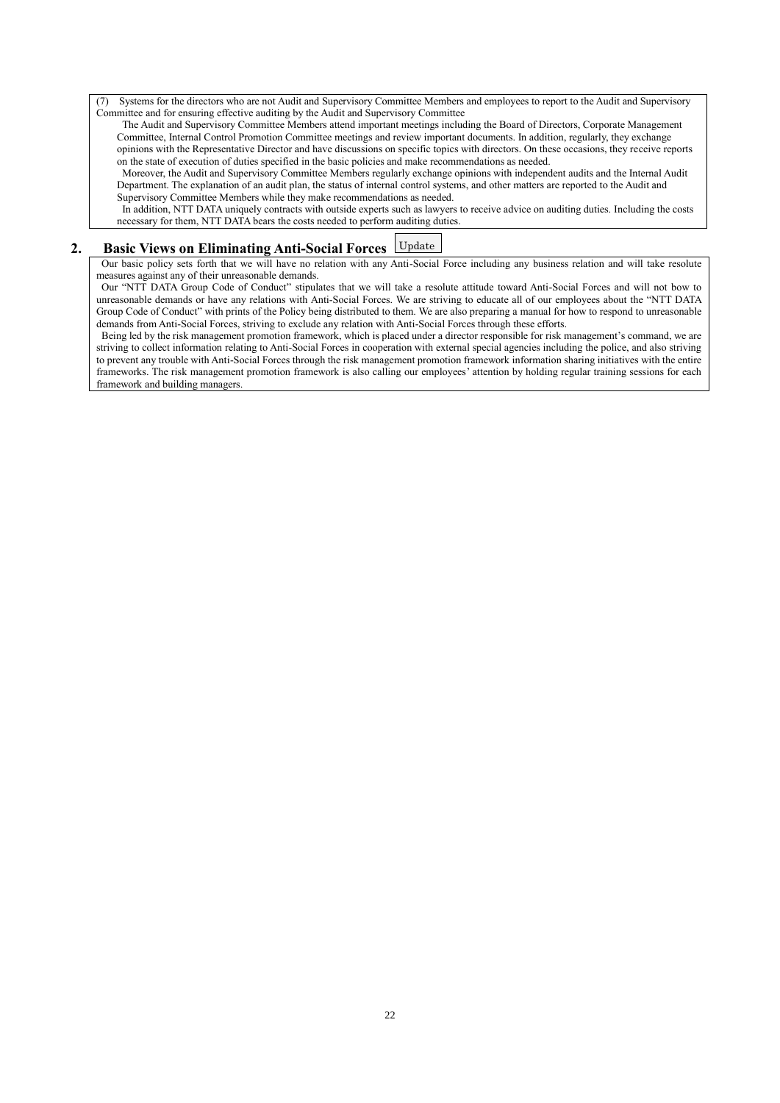(7) Systems for the directors who are not Audit and Supervisory Committee Members and employees to report to the Audit and Supervisory Committee and for ensuring effective auditing by the Audit and Supervisory Committee

The Audit and Supervisory Committee Members attend important meetings including the Board of Directors, Corporate Management Committee, Internal Control Promotion Committee meetings and review important documents. In addition, regularly, they exchange opinions with the Representative Director and have discussions on specific topics with directors. On these occasions, they receive reports on the state of execution of duties specified in the basic policies and make recommendations as needed.

Moreover, the Audit and Supervisory Committee Members regularly exchange opinions with independent audits and the Internal Audit Department. The explanation of an audit plan, the status of internal control systems, and other matters are reported to the Audit and Supervisory Committee Members while they make recommendations as needed.

In addition, NTT DATA uniquely contracts with outside experts such as lawyers to receive advice on auditing duties. Including the costs necessary for them, NTT DATA bears the costs needed to perform auditing duties.

#### **2. Basic Views on Eliminating Anti-Social Forces** Update

Our basic policy sets forth that we will have no relation with any Anti-Social Force including any business relation and will take resolute measures against any of their unreasonable demands.

Our "NTT DATA Group Code of Conduct" stipulates that we will take a resolute attitude toward Anti-Social Forces and will not bow to unreasonable demands or have any relations with Anti-Social Forces. We are striving to educate all of our employees about the "NTT DATA Group Code of Conduct" with prints of the Policy being distributed to them. We are also preparing a manual for how to respond to unreasonable demands from Anti-Social Forces, striving to exclude any relation with Anti-Social Forces through these efforts.

Being led by the risk management promotion framework, which is placed under a director responsible for risk management's command, we are striving to collect information relating to Anti-Social Forces in cooperation with external special agencies including the police, and also striving to prevent any trouble with Anti-Social Forces through the risk management promotion framework information sharing initiatives with the entire frameworks. The risk management promotion framework is also calling our employees' attention by holding regular training sessions for each framework and building managers.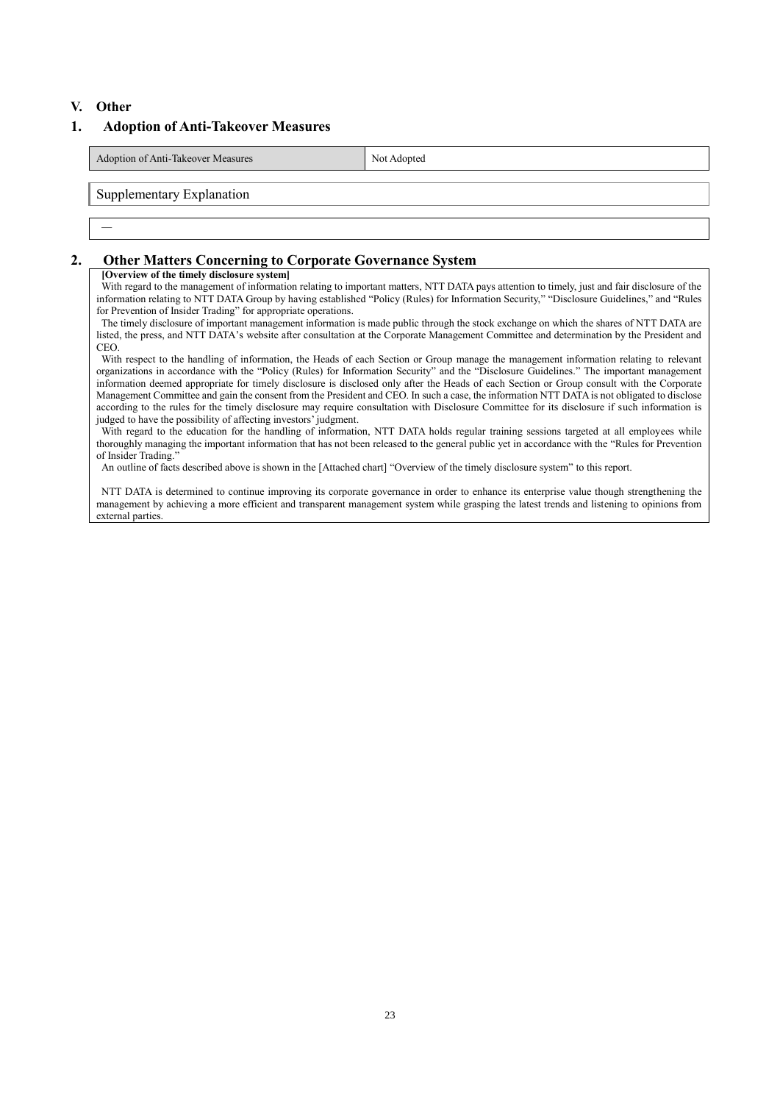### **V. Other**

―

# **1. Adoption of Anti-Takeover Measures**

Adoption of Anti-Takeover Measures Not Adopted

Supplementary Explanation

### **2. Other Matters Concerning to Corporate Governance System**

#### **[Overview of the timely disclosure system]**

With regard to the management of information relating to important matters, NTT DATA pays attention to timely, just and fair disclosure of the information relating to NTT DATA Group by having established "Policy (Rules) for Information Security," "Disclosure Guidelines," and "Rules for Prevention of Insider Trading" for appropriate operations.

The timely disclosure of important management information is made public through the stock exchange on which the shares of NTT DATA are listed, the press, and NTT DATA's website after consultation at the Corporate Management Committee and determination by the President and CEO.

With respect to the handling of information, the Heads of each Section or Group manage the management information relating to relevant organizations in accordance with the "Policy (Rules) for Information Security" and the "Disclosure Guidelines." The important management information deemed appropriate for timely disclosure is disclosed only after the Heads of each Section or Group consult with the Corporate Management Committee and gain the consent from the President and CEO. In such a case, the information NTT DATA is not obligated to disclose according to the rules for the timely disclosure may require consultation with Disclosure Committee for its disclosure if such information is judged to have the possibility of affecting investors' judgment.

With regard to the education for the handling of information, NTT DATA holds regular training sessions targeted at all employees while thoroughly managing the important information that has not been released to the general public yet in accordance with the "Rules for Prevention of Insider Trading."

An outline of facts described above is shown in the [Attached chart] "Overview of the timely disclosure system" to this report.

NTT DATA is determined to continue improving its corporate governance in order to enhance its enterprise value though strengthening the management by achieving a more efficient and transparent management system while grasping the latest trends and listening to opinions from external parties.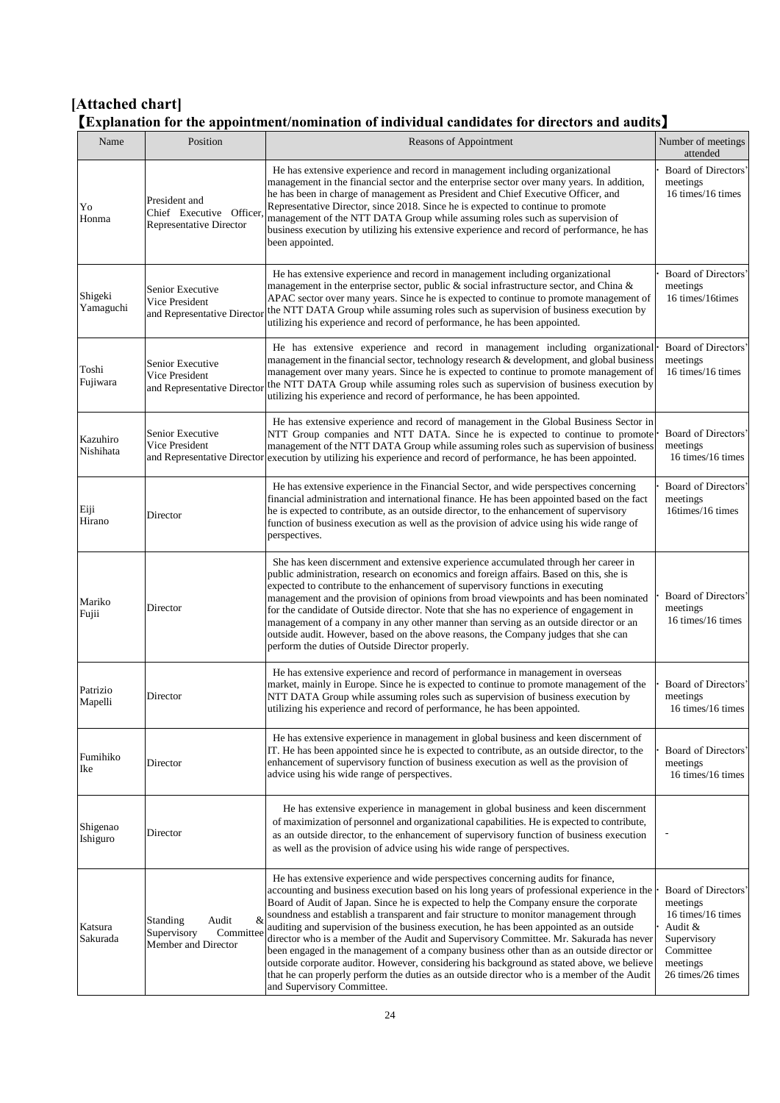# **[Attached chart]** 【**Explanation for the appointment/nomination of individual candidates for directors and audits**】

| Name                  | Position                                                                    | Reasons of Appointment                                                                                                                                                                                                                                                                                                                                                                                                                                                                                                                                                                                                                                                                                                                                                                                                                                                            | Number of meetings<br>attended                                                                                               |
|-----------------------|-----------------------------------------------------------------------------|-----------------------------------------------------------------------------------------------------------------------------------------------------------------------------------------------------------------------------------------------------------------------------------------------------------------------------------------------------------------------------------------------------------------------------------------------------------------------------------------------------------------------------------------------------------------------------------------------------------------------------------------------------------------------------------------------------------------------------------------------------------------------------------------------------------------------------------------------------------------------------------|------------------------------------------------------------------------------------------------------------------------------|
| Yo<br>Honma           | President and<br>Chief Executive Officer,<br><b>Representative Director</b> | He has extensive experience and record in management including organizational<br>management in the financial sector and the enterprise sector over many years. In addition,<br>he has been in charge of management as President and Chief Executive Officer, and<br>Representative Director, since 2018. Since he is expected to continue to promote<br>management of the NTT DATA Group while assuming roles such as supervision of<br>business execution by utilizing his extensive experience and record of performance, he has<br>been appointed.                                                                                                                                                                                                                                                                                                                             | Board of Directors'<br>meetings<br>16 times/16 times                                                                         |
| Shigeki<br>Yamaguchi  | Senior Executive<br>Vice President<br>and Representative Director           | He has extensive experience and record in management including organizational<br>management in the enterprise sector, public $\&$ social infrastructure sector, and China $\&$<br>APAC sector over many years. Since he is expected to continue to promote management of<br>the NTT DATA Group while assuming roles such as supervision of business execution by<br>utilizing his experience and record of performance, he has been appointed.                                                                                                                                                                                                                                                                                                                                                                                                                                    | Board of Directors'<br>meetings<br>16 times/16 times                                                                         |
| Toshi<br>Fujiwara     | Senior Executive<br>Vice President<br>and Representative Director           | He has extensive experience and record in management including organizational<br>management in the financial sector, technology research & development, and global business<br>management over many years. Since he is expected to continue to promote management of<br>the NTT DATA Group while assuming roles such as supervision of business execution by<br>utilizing his experience and record of performance, he has been appointed.                                                                                                                                                                                                                                                                                                                                                                                                                                        | Board of Directors'<br>meetings<br>16 times/16 times                                                                         |
| Kazuhiro<br>Nishihata | Senior Executive<br>Vice President                                          | He has extensive experience and record of management in the Global Business Sector in<br>NTT Group companies and NTT DATA. Since he is expected to continue to promote<br>management of the NTT DATA Group while assuming roles such as supervision of business<br>and Representative Director execution by utilizing his experience and record of performance, he has been appointed.                                                                                                                                                                                                                                                                                                                                                                                                                                                                                            | Board of Directors'<br>meetings<br>16 times/16 times                                                                         |
| Eiji<br>Hirano        | Director                                                                    | He has extensive experience in the Financial Sector, and wide perspectives concerning<br>financial administration and international finance. He has been appointed based on the fact<br>he is expected to contribute, as an outside director, to the enhancement of supervisory<br>function of business execution as well as the provision of advice using his wide range of<br>perspectives.                                                                                                                                                                                                                                                                                                                                                                                                                                                                                     | Board of Directors'<br>meetings<br>16times/16 times                                                                          |
| Mariko<br>Fujii       | Director                                                                    | She has keen discernment and extensive experience accumulated through her career in<br>public administration, research on economics and foreign affairs. Based on this, she is<br>expected to contribute to the enhancement of supervisory functions in executing<br>management and the provision of opinions from broad viewpoints and has been nominated<br>for the candidate of Outside director. Note that she has no experience of engagement in<br>management of a company in any other manner than serving as an outside director or an<br>outside audit. However, based on the above reasons, the Company judges that she can<br>perform the duties of Outside Director properly.                                                                                                                                                                                         | Board of Directors'<br>meetings<br>16 times/16 times                                                                         |
| Patrizio<br>Mapelli   | Director                                                                    | He has extensive experience and record of performance in management in overseas<br>market, mainly in Europe. Since he is expected to continue to promote management of the<br>NTT DATA Group while assuming roles such as supervision of business execution by<br>utilizing his experience and record of performance, he has been appointed.                                                                                                                                                                                                                                                                                                                                                                                                                                                                                                                                      | Board of Directors'<br>meetings<br>16 times/16 times                                                                         |
| Fumihiko<br>Ike       | Director                                                                    | He has extensive experience in management in global business and keen discernment of<br>IT. He has been appointed since he is expected to contribute, as an outside director, to the<br>enhancement of supervisory function of business execution as well as the provision of<br>advice using his wide range of perspectives.                                                                                                                                                                                                                                                                                                                                                                                                                                                                                                                                                     | Board of Directors'<br>meetings<br>16 times/16 times                                                                         |
| Shigenao<br>Ishiguro  | Director                                                                    | He has extensive experience in management in global business and keen discernment<br>of maximization of personnel and organizational capabilities. He is expected to contribute,<br>as an outside director, to the enhancement of supervisory function of business execution<br>as well as the provision of advice using his wide range of perspectives.                                                                                                                                                                                                                                                                                                                                                                                                                                                                                                                          |                                                                                                                              |
| Katsura<br>Sakurada   | &<br>Standing<br>Audit<br>Supervisory<br>Committee<br>Member and Director   | He has extensive experience and wide perspectives concerning audits for finance,<br>accounting and business execution based on his long years of professional experience in the<br>Board of Audit of Japan. Since he is expected to help the Company ensure the corporate<br>soundness and establish a transparent and fair structure to monitor management through<br>auditing and supervision of the business execution, he has been appointed as an outside<br>director who is a member of the Audit and Supervisory Committee. Mr. Sakurada has never<br>been engaged in the management of a company business other than as an outside director or<br>outside corporate auditor. However, considering his background as stated above, we believe<br>that he can properly perform the duties as an outside director who is a member of the Audit<br>and Supervisory Committee. | Board of Directors'<br>meetings<br>16 times/16 times<br>Audit &<br>Supervisory<br>Committee<br>meetings<br>26 times/26 times |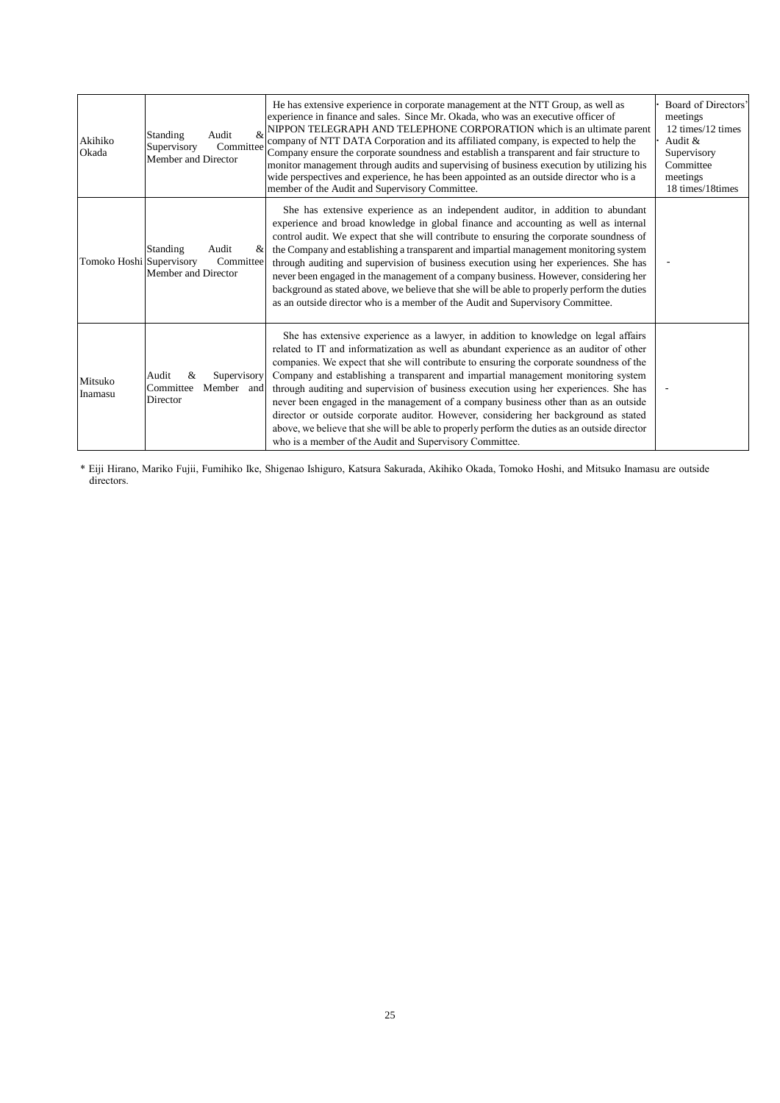| Akihiko<br>Okada         | &<br>Standing<br>Audit<br>Committee<br>Supervisory<br>Member and Director | He has extensive experience in corporate management at the NTT Group, as well as<br>experience in finance and sales. Since Mr. Okada, who was an executive officer of<br>NIPPON TELEGRAPH AND TELEPHONE CORPORATION which is an ultimate parent<br>company of NTT DATA Corporation and its affiliated company, is expected to help the<br>Company ensure the corporate soundness and establish a transparent and fair structure to<br>monitor management through audits and supervising of business execution by utilizing his<br>wide perspectives and experience, he has been appointed as an outside director who is a<br>member of the Audit and Supervisory Committee.                                                                                                                         | Board of Directors'<br>meetings<br>12 times/12 times<br>Audit $\&$<br>Supervisory<br>Committee<br>meetings<br>18 times/18 times |
|--------------------------|---------------------------------------------------------------------------|-----------------------------------------------------------------------------------------------------------------------------------------------------------------------------------------------------------------------------------------------------------------------------------------------------------------------------------------------------------------------------------------------------------------------------------------------------------------------------------------------------------------------------------------------------------------------------------------------------------------------------------------------------------------------------------------------------------------------------------------------------------------------------------------------------|---------------------------------------------------------------------------------------------------------------------------------|
| Tomoko Hoshi Supervisory | Standing<br>Audit<br>&<br>Committee<br>Member and Director                | She has extensive experience as an independent auditor, in addition to abundant<br>experience and broad knowledge in global finance and accounting as well as internal<br>control audit. We expect that she will contribute to ensuring the corporate soundness of<br>the Company and establishing a transparent and impartial management monitoring system<br>through auditing and supervision of business execution using her experiences. She has<br>never been engaged in the management of a company business. However, considering her<br>background as stated above, we believe that she will be able to properly perform the duties<br>as an outside director who is a member of the Audit and Supervisory Committee.                                                                       |                                                                                                                                 |
| Mitsuko<br>Inamasu       | Audit<br>&<br>Supervisory<br>Committee<br>Member and<br>Director          | She has extensive experience as a lawyer, in addition to knowledge on legal affairs<br>related to IT and informatization as well as abundant experience as an auditor of other<br>companies. We expect that she will contribute to ensuring the corporate soundness of the<br>Company and establishing a transparent and impartial management monitoring system<br>through auditing and supervision of business execution using her experiences. She has<br>never been engaged in the management of a company business other than as an outside<br>director or outside corporate auditor. However, considering her background as stated<br>above, we believe that she will be able to properly perform the duties as an outside director<br>who is a member of the Audit and Supervisory Committee. |                                                                                                                                 |

\* Eiji Hirano, Mariko Fujii, Fumihiko Ike, Shigenao Ishiguro, Katsura Sakurada, Akihiko Okada, Tomoko Hoshi, and Mitsuko Inamasu are outside directors.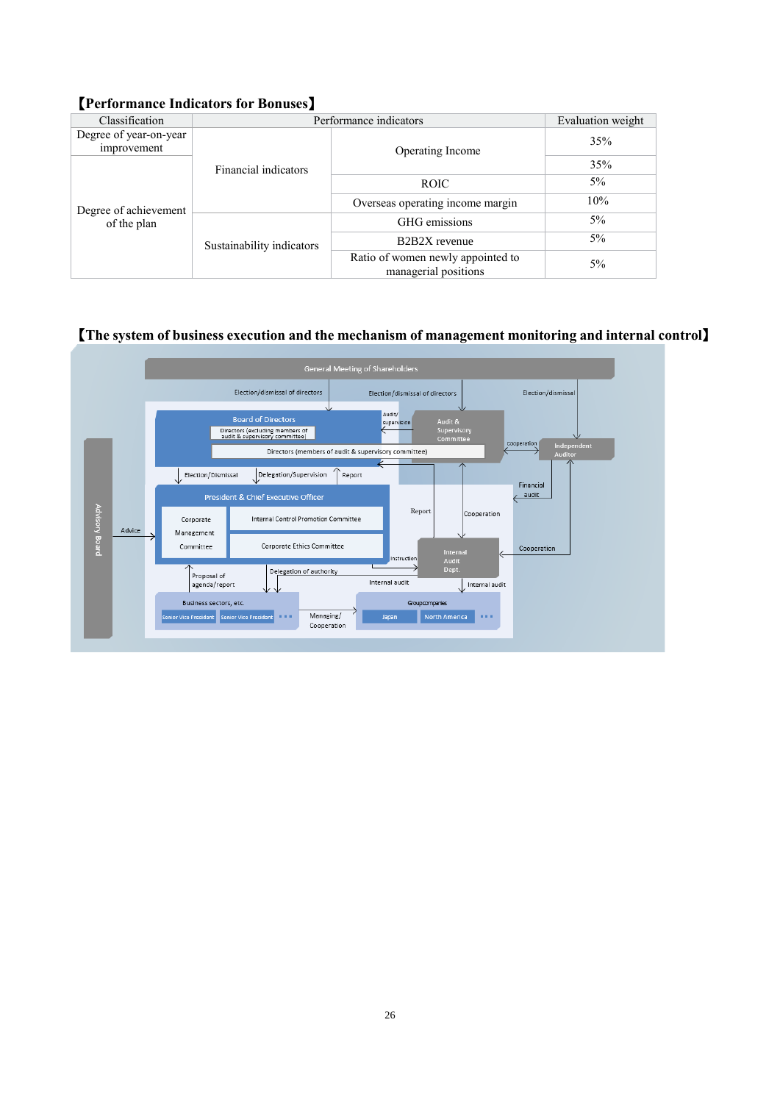# 【**Performance Indicators for Bonuses**】

| Classification                        | Performance indicators    | Evaluation weight                                         |       |
|---------------------------------------|---------------------------|-----------------------------------------------------------|-------|
| Degree of year-on-year<br>improvement |                           | Operating Income                                          | 35%   |
|                                       | Financial indicators      |                                                           | 35%   |
|                                       | Sustainability indicators | <b>ROIC</b>                                               | $5\%$ |
| Degree of achievement                 |                           | Overseas operating income margin                          | 10%   |
| of the plan                           |                           | GHG emissions                                             | $5\%$ |
|                                       |                           | B <sub>2</sub> B <sub>2</sub> X revenue                   | $5\%$ |
|                                       |                           | Ratio of women newly appointed to<br>managerial positions | 5%    |

# 【**The system of business execution and the mechanism of management monitoring and internal control**】

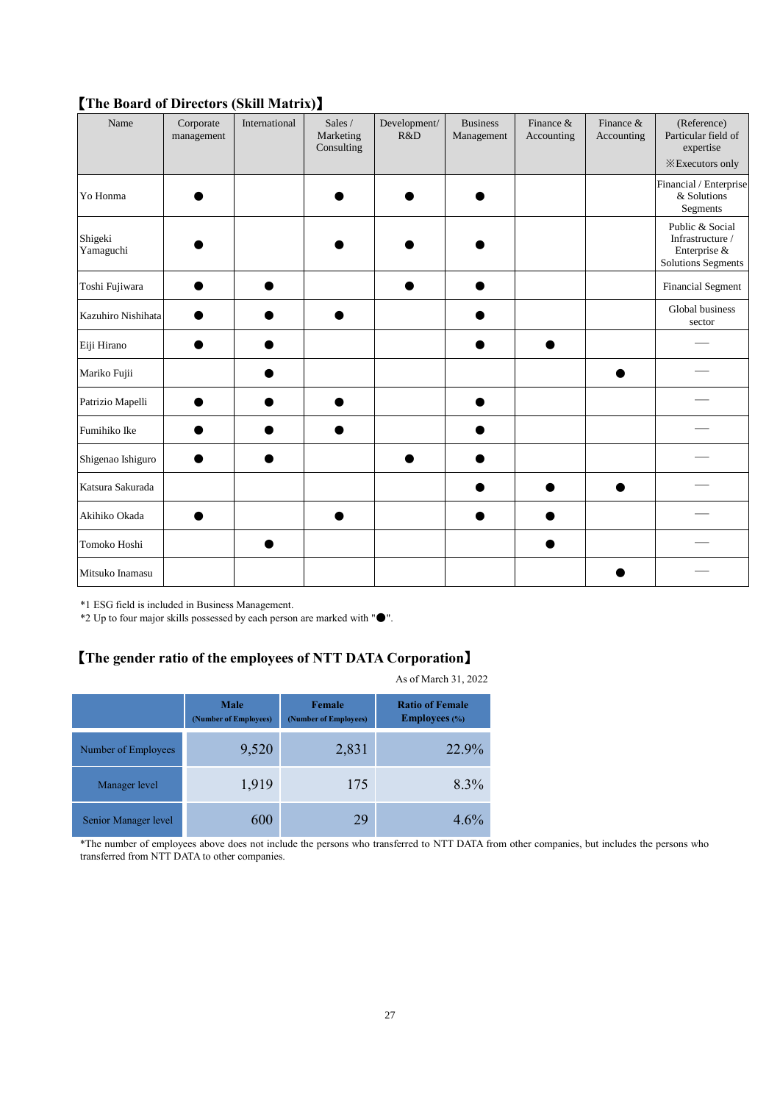|                      | $\cdots$                | $\frac{1}{2}$ |                                    |                     |                               |                         |                         |                                                                                  |
|----------------------|-------------------------|---------------|------------------------------------|---------------------|-------------------------------|-------------------------|-------------------------|----------------------------------------------------------------------------------|
| Name                 | Corporate<br>management | International | Sales /<br>Marketing<br>Consulting | Development/<br>R&D | <b>Business</b><br>Management | Finance &<br>Accounting | Finance &<br>Accounting | (Reference)<br>Particular field of<br>expertise<br><b>X</b> Executors only       |
| Yo Honma             |                         |               |                                    |                     |                               |                         |                         | Financial / Enterprise<br>& Solutions<br>Segments                                |
| Shigeki<br>Yamaguchi |                         |               |                                    |                     |                               |                         |                         | Public & Social<br>Infrastructure /<br>Enterprise &<br><b>Solutions Segments</b> |
| Toshi Fujiwara       |                         |               |                                    |                     |                               |                         |                         | <b>Financial Segment</b>                                                         |
| Kazuhiro Nishihata   |                         |               |                                    |                     |                               |                         |                         | Global business<br>sector                                                        |
| Eiji Hirano          |                         |               |                                    |                     |                               |                         |                         |                                                                                  |
| Mariko Fujii         |                         |               |                                    |                     |                               |                         |                         |                                                                                  |
| Patrizio Mapelli     |                         |               |                                    |                     |                               |                         |                         |                                                                                  |
| Fumihiko Ike         |                         |               |                                    |                     |                               |                         |                         |                                                                                  |
| Shigenao Ishiguro    |                         |               |                                    |                     |                               |                         |                         |                                                                                  |
| Katsura Sakurada     |                         |               |                                    |                     |                               |                         |                         |                                                                                  |
| Akihiko Okada        |                         |               |                                    |                     |                               |                         |                         |                                                                                  |
| Tomoko Hoshi         |                         |               |                                    |                     |                               |                         |                         |                                                                                  |
| Mitsuko Inamasu      |                         |               |                                    |                     |                               |                         |                         |                                                                                  |

# 【**The Board of Directors (Skill Matrix)**】

\*1 ESG field is included in Business Management.

\*2 Up to four major skills possessed by each person are marked with " $\bullet$ ".

# 【**The gender ratio of the employees of NTT DATA Corporation**】

|                      | <b>Male</b><br>(Number of Employees) | Female<br>(Number of Employees) | <b>Ratio of Female</b><br><b>Employees</b> (%) |
|----------------------|--------------------------------------|---------------------------------|------------------------------------------------|
| Number of Employees  | 9,520                                | 2,831                           | 22.9%                                          |
| Manager level        | 1,919                                | 175                             | 8.3%                                           |
| Senior Manager level | 600                                  | 29                              | $4.6\%$                                        |

As of March 31, 2022

\*The number of employees above does not include the persons who transferred to NTT DATA from other companies, but includes the persons who transferred from NTT DATA to other companies.